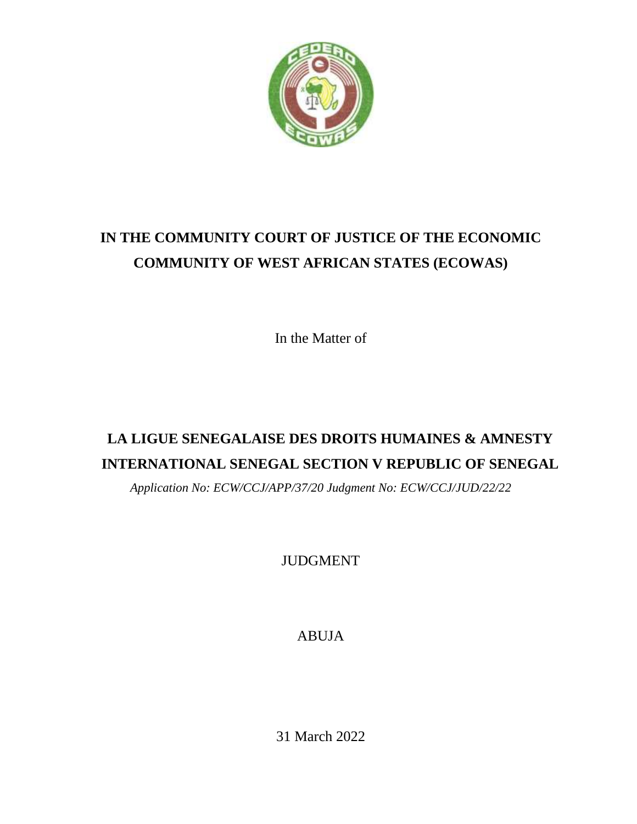

# **IN THE COMMUNITY COURT OF JUSTICE OF THE ECONOMIC COMMUNITY OF WEST AFRICAN STATES (ECOWAS)**

In the Matter of

# **LA LIGUE SENEGALAISE DES DROITS HUMAINES & AMNESTY INTERNATIONAL SENEGAL SECTION V REPUBLIC OF SENEGAL**

*Application No: ECW/CCJ/APP/37/20 Judgment No: ECW/CCJ/JUD/22/22*

JUDGMENT

ABUJA

31 March 2022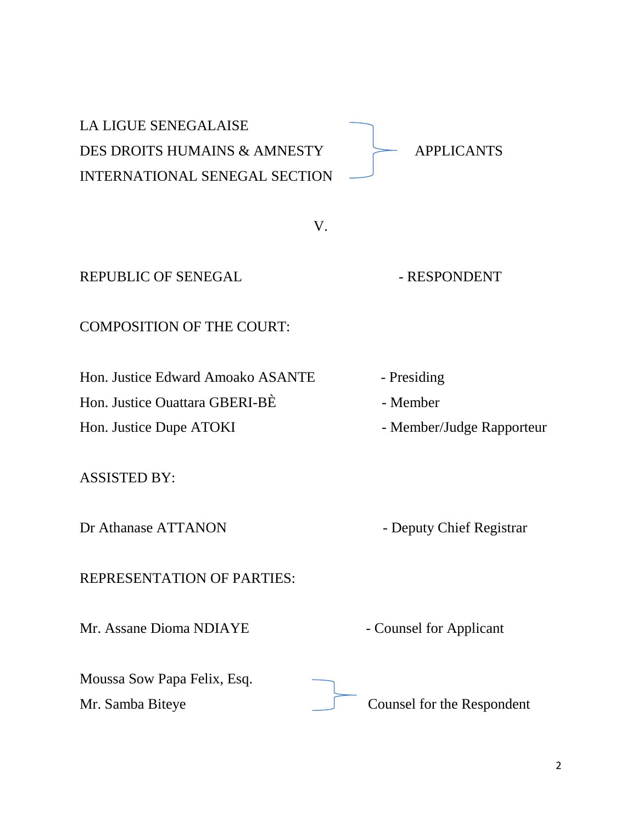| <b>LA LIGUE SENEGALAISE</b><br>DES DROITS HUMAINS & AMNESTY<br><b>INTERNATIONAL SENEGAL SECTION</b> | <b>APPLICANTS</b>          |
|-----------------------------------------------------------------------------------------------------|----------------------------|
| V.                                                                                                  |                            |
| <b>REPUBLIC OF SENEGAL</b>                                                                          | - RESPONDENT               |
| <b>COMPOSITION OF THE COURT:</b>                                                                    |                            |
| Hon. Justice Edward Amoako ASANTE                                                                   | - Presiding                |
| Hon. Justice Ouattara GBERI-BE                                                                      | - Member                   |
| Hon. Justice Dupe ATOKI                                                                             | - Member/Judge Rapporteur  |
| <b>ASSISTED BY:</b>                                                                                 |                            |
| Dr Athanase ATTANON                                                                                 | - Deputy Chief Registrar   |
| REPRESENTATION OF PARTIES:                                                                          |                            |
| Mr. Assane Dioma NDIAYE                                                                             | - Counsel for Applicant    |
| Moussa Sow Papa Felix, Esq.                                                                         |                            |
| Mr. Samba Biteye                                                                                    | Counsel for the Respondent |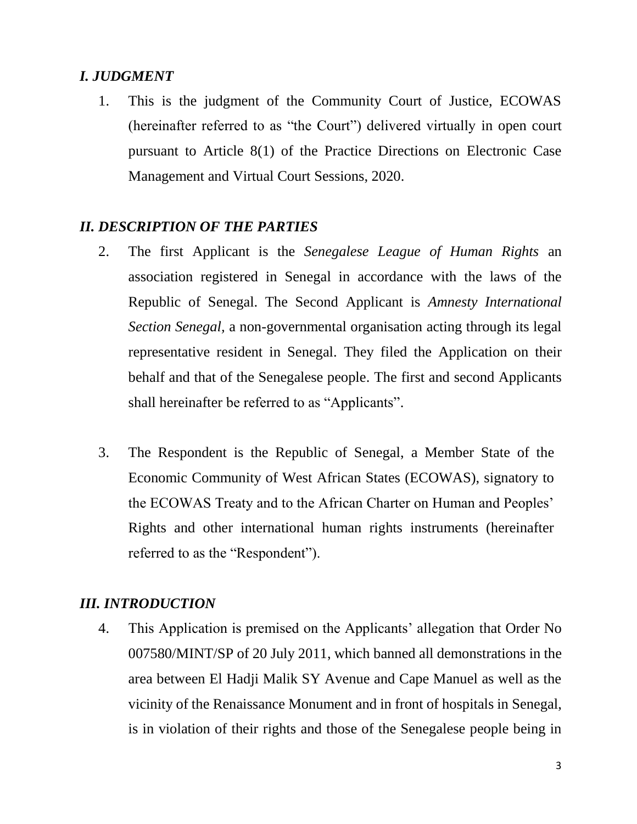# *I. JUDGMENT*

1. This is the judgment of the Community Court of Justice, ECOWAS (hereinafter referred to as "the Court") delivered virtually in open court pursuant to Article 8(1) of the Practice Directions on Electronic Case Management and Virtual Court Sessions, 2020.

# *II. DESCRIPTION OF THE PARTIES*

- 2. The first Applicant is the *Senegalese League of Human Rights* an association registered in Senegal in accordance with the laws of the Republic of Senegal. The Second Applicant is *Amnesty International Section Senegal,* a non-governmental organisation acting through its legal representative resident in Senegal. They filed the Application on their behalf and that of the Senegalese people. The first and second Applicants shall hereinafter be referred to as "Applicants".
- 3. The Respondent is the Republic of Senegal, a Member State of the Economic Community of West African States (ECOWAS), signatory to the ECOWAS Treaty and to the African Charter on Human and Peoples' Rights and other international human rights instruments (hereinafter referred to as the "Respondent").

#### *III. INTRODUCTION*

4. This Application is premised on the Applicants' allegation that Order No 007580/MINT/SP of 20 July 2011, which banned all demonstrations in the area between El Hadji Malik SY Avenue and Cape Manuel as well as the vicinity of the Renaissance Monument and in front of hospitals in Senegal, is in violation of their rights and those of the Senegalese people being in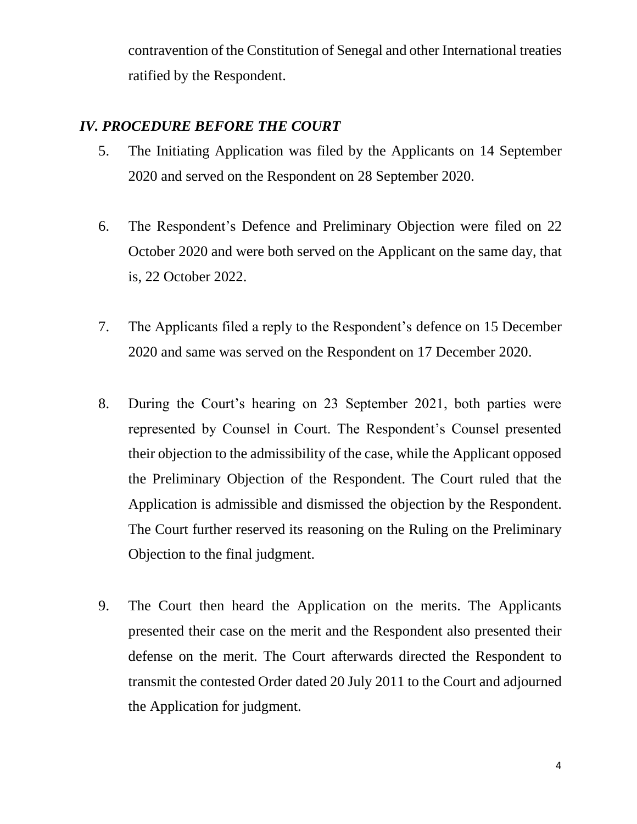contravention of the Constitution of Senegal and other International treaties ratified by the Respondent.

# *IV. PROCEDURE BEFORE THE COURT*

- 5. The Initiating Application was filed by the Applicants on 14 September 2020 and served on the Respondent on 28 September 2020.
- 6. The Respondent's Defence and Preliminary Objection were filed on 22 October 2020 and were both served on the Applicant on the same day, that is, 22 October 2022.
- 7. The Applicants filed a reply to the Respondent's defence on 15 December 2020 and same was served on the Respondent on 17 December 2020.
- 8. During the Court's hearing on 23 September 2021, both parties were represented by Counsel in Court. The Respondent's Counsel presented their objection to the admissibility of the case, while the Applicant opposed the Preliminary Objection of the Respondent. The Court ruled that the Application is admissible and dismissed the objection by the Respondent. The Court further reserved its reasoning on the Ruling on the Preliminary Objection to the final judgment.
- 9. The Court then heard the Application on the merits. The Applicants presented their case on the merit and the Respondent also presented their defense on the merit. The Court afterwards directed the Respondent to transmit the contested Order dated 20 July 2011 to the Court and adjourned the Application for judgment.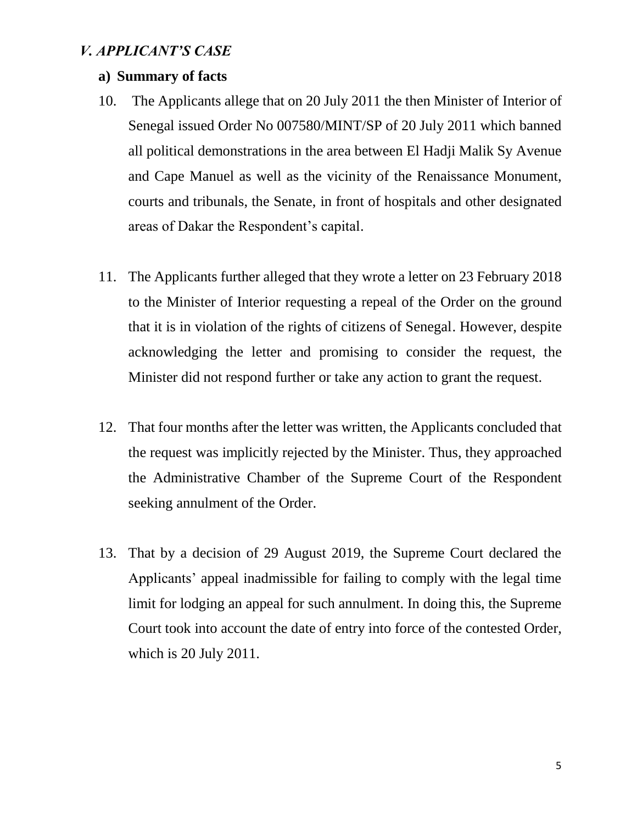### *V. APPLICANT'S CASE*

#### **a) Summary of facts**

- 10. The Applicants allege that on 20 July 2011 the then Minister of Interior of Senegal issued Order No 007580/MINT/SP of 20 July 2011 which banned all political demonstrations in the area between El Hadji Malik Sy Avenue and Cape Manuel as well as the vicinity of the Renaissance Monument, courts and tribunals, the Senate, in front of hospitals and other designated areas of Dakar the Respondent's capital.
- 11. The Applicants further alleged that they wrote a letter on 23 February 2018 to the Minister of Interior requesting a repeal of the Order on the ground that it is in violation of the rights of citizens of Senegal. However, despite acknowledging the letter and promising to consider the request, the Minister did not respond further or take any action to grant the request.
- 12. That four months after the letter was written, the Applicants concluded that the request was implicitly rejected by the Minister. Thus, they approached the Administrative Chamber of the Supreme Court of the Respondent seeking annulment of the Order.
- 13. That by a decision of 29 August 2019, the Supreme Court declared the Applicants' appeal inadmissible for failing to comply with the legal time limit for lodging an appeal for such annulment. In doing this, the Supreme Court took into account the date of entry into force of the contested Order, which is 20 July 2011.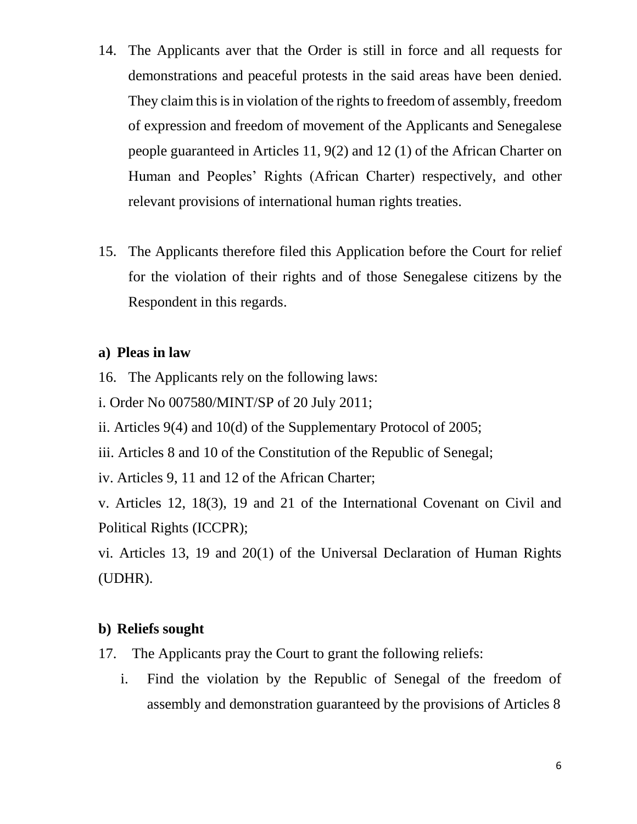- 14. The Applicants aver that the Order is still in force and all requests for demonstrations and peaceful protests in the said areas have been denied. They claim this is in violation of the rights to freedom of assembly, freedom of expression and freedom of movement of the Applicants and Senegalese people guaranteed in Articles 11, 9(2) and 12 (1) of the African Charter on Human and Peoples' Rights (African Charter) respectively, and other relevant provisions of international human rights treaties.
- 15. The Applicants therefore filed this Application before the Court for relief for the violation of their rights and of those Senegalese citizens by the Respondent in this regards.

### **a) Pleas in law**

- 16. The Applicants rely on the following laws:
- i. Order No 007580/MINT/SP of 20 July 2011;
- ii. Articles 9(4) and 10(d) of the Supplementary Protocol of 2005;
- iii. Articles 8 and 10 of the Constitution of the Republic of Senegal;
- iv. Articles 9, 11 and 12 of the African Charter;

v. Articles 12, 18(3), 19 and 21 of the International Covenant on Civil and Political Rights (ICCPR);

vi. Articles 13, 19 and 20(1) of the Universal Declaration of Human Rights (UDHR).

# **b) Reliefs sought**

- 17. The Applicants pray the Court to grant the following reliefs:
	- i. Find the violation by the Republic of Senegal of the freedom of assembly and demonstration guaranteed by the provisions of Articles 8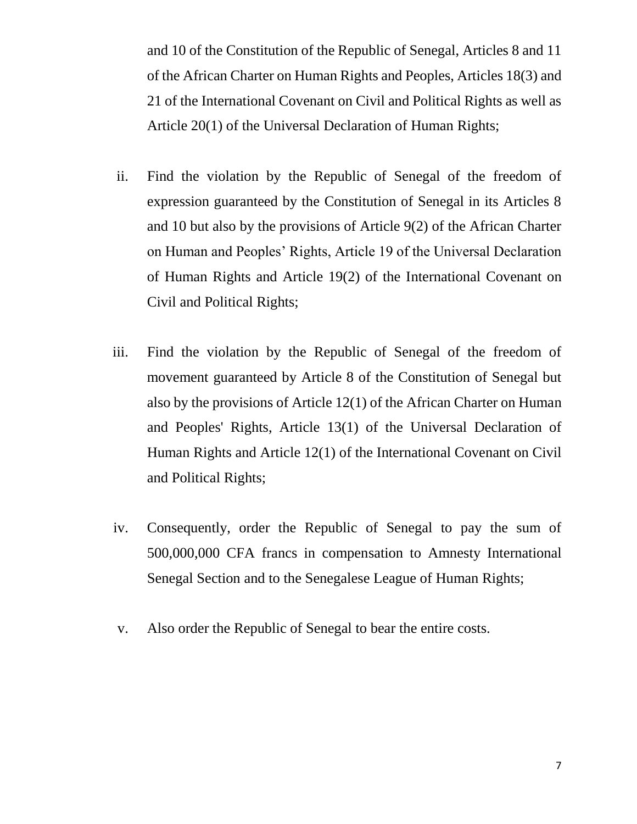and 10 of the Constitution of the Republic of Senegal, Articles 8 and 11 of the African Charter on Human Rights and Peoples, Articles 18(3) and 21 of the International Covenant on Civil and Political Rights as well as Article 20(1) of the Universal Declaration of Human Rights;

- ii. Find the violation by the Republic of Senegal of the freedom of expression guaranteed by the Constitution of Senegal in its Articles 8 and 10 but also by the provisions of Article 9(2) of the African Charter on Human and Peoples' Rights, Article 19 of the Universal Declaration of Human Rights and Article 19(2) of the International Covenant on Civil and Political Rights;
- iii. Find the violation by the Republic of Senegal of the freedom of movement guaranteed by Article 8 of the Constitution of Senegal but also by the provisions of Article 12(1) of the African Charter on Human and Peoples' Rights, Article 13(1) of the Universal Declaration of Human Rights and Article 12(1) of the International Covenant on Civil and Political Rights;
- iv. Consequently, order the Republic of Senegal to pay the sum of 500,000,000 CFA francs in compensation to Amnesty International Senegal Section and to the Senegalese League of Human Rights;
- v. Also order the Republic of Senegal to bear the entire costs.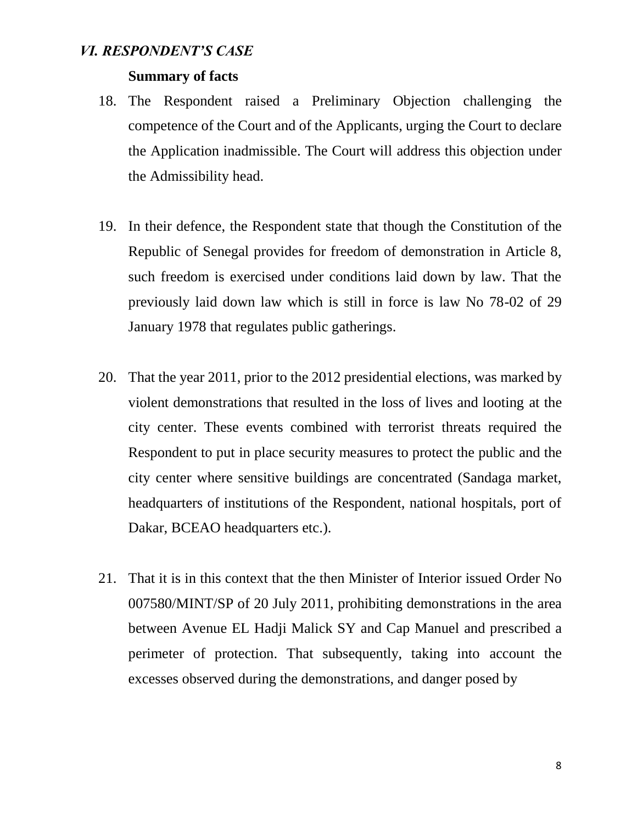#### *VI. RESPONDENT'S CASE*

#### **Summary of facts**

- 18. The Respondent raised a Preliminary Objection challenging the competence of the Court and of the Applicants, urging the Court to declare the Application inadmissible. The Court will address this objection under the Admissibility head.
- 19. In their defence, the Respondent state that though the Constitution of the Republic of Senegal provides for freedom of demonstration in Article 8, such freedom is exercised under conditions laid down by law. That the previously laid down law which is still in force is law No 78-02 of 29 January 1978 that regulates public gatherings.
- 20. That the year 2011, prior to the 2012 presidential elections, was marked by violent demonstrations that resulted in the loss of lives and looting at the city center. These events combined with terrorist threats required the Respondent to put in place security measures to protect the public and the city center where sensitive buildings are concentrated (Sandaga market, headquarters of institutions of the Respondent, national hospitals, port of Dakar, BCEAO headquarters etc.).
- 21. That it is in this context that the then Minister of Interior issued Order No 007580/MINT/SP of 20 July 2011, prohibiting demonstrations in the area between Avenue EL Hadji Malick SY and Cap Manuel and prescribed a perimeter of protection. That subsequently, taking into account the excesses observed during the demonstrations, and danger posed by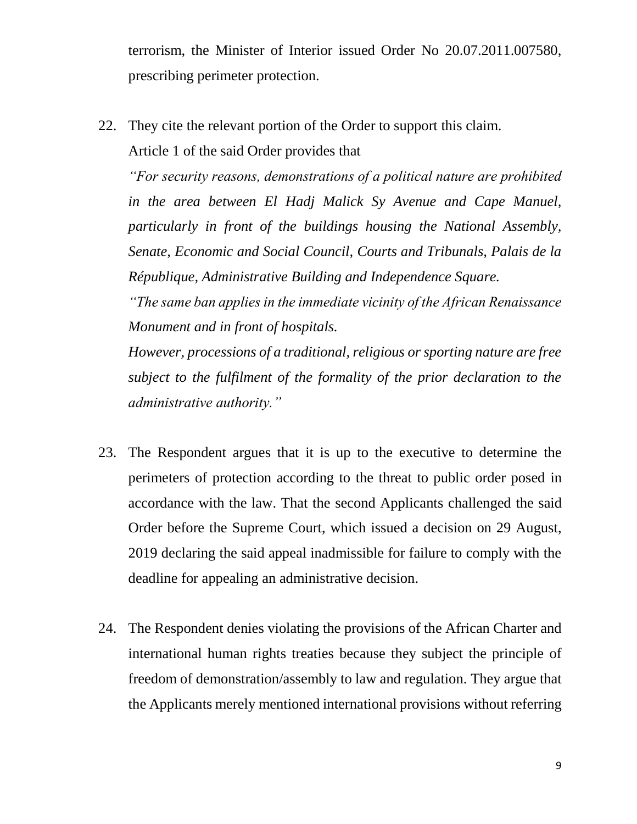terrorism, the Minister of Interior issued Order No 20.07.2011.007580, prescribing perimeter protection.

22. They cite the relevant portion of the Order to support this claim.

Article 1 of the said Order provides that

*"For security reasons, demonstrations of a political nature are prohibited in the area between El Hadj Malick Sy Avenue and Cape Manuel, particularly in front of the buildings housing the National Assembly, Senate, Economic and Social Council, Courts and Tribunals, Palais de la République, Administrative Building and Independence Square.*

*"The same ban applies in the immediate vicinity of the African Renaissance Monument and in front of hospitals.*

*However, processions of a traditional, religious or sporting nature are free subject to the fulfilment of the formality of the prior declaration to the administrative authority."*

- 23. The Respondent argues that it is up to the executive to determine the perimeters of protection according to the threat to public order posed in accordance with the law. That the second Applicants challenged the said Order before the Supreme Court, which issued a decision on 29 August, 2019 declaring the said appeal inadmissible for failure to comply with the deadline for appealing an administrative decision.
- 24. The Respondent denies violating the provisions of the African Charter and international human rights treaties because they subject the principle of freedom of demonstration/assembly to law and regulation. They argue that the Applicants merely mentioned international provisions without referring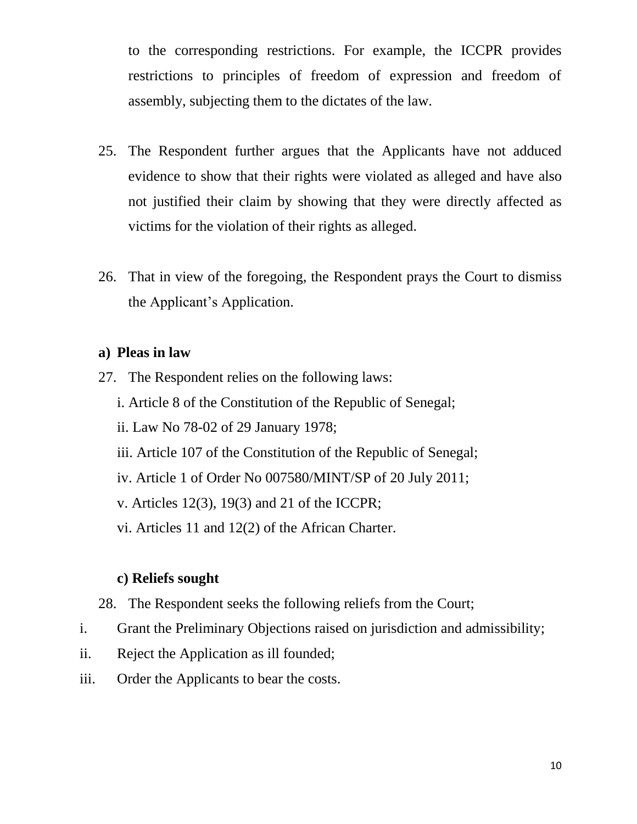to the corresponding restrictions. For example, the ICCPR provides restrictions to principles of freedom of expression and freedom of assembly, subjecting them to the dictates of the law.

- 25. The Respondent further argues that the Applicants have not adduced evidence to show that their rights were violated as alleged and have also not justified their claim by showing that they were directly affected as victims for the violation of their rights as alleged.
- 26. That in view of the foregoing, the Respondent prays the Court to dismiss the Applicant's Application.

#### **a) Pleas in law**

- 27. The Respondent relies on the following laws:
	- i. Article 8 of the Constitution of the Republic of Senegal;
	- ii. Law No 78-02 of 29 January 1978;
	- iii. Article 107 of the Constitution of the Republic of Senegal;
	- iv. Article 1 of Order No 007580/MINT/SP of 20 July 2011;
	- v. Articles 12(3), 19(3) and 21 of the ICCPR;
	- vi. Articles 11 and 12(2) of the African Charter.

# **c) Reliefs sought**

- 28. The Respondent seeks the following reliefs from the Court;
- i. Grant the Preliminary Objections raised on jurisdiction and admissibility;
- ii. Reject the Application as ill founded;
- iii. Order the Applicants to bear the costs.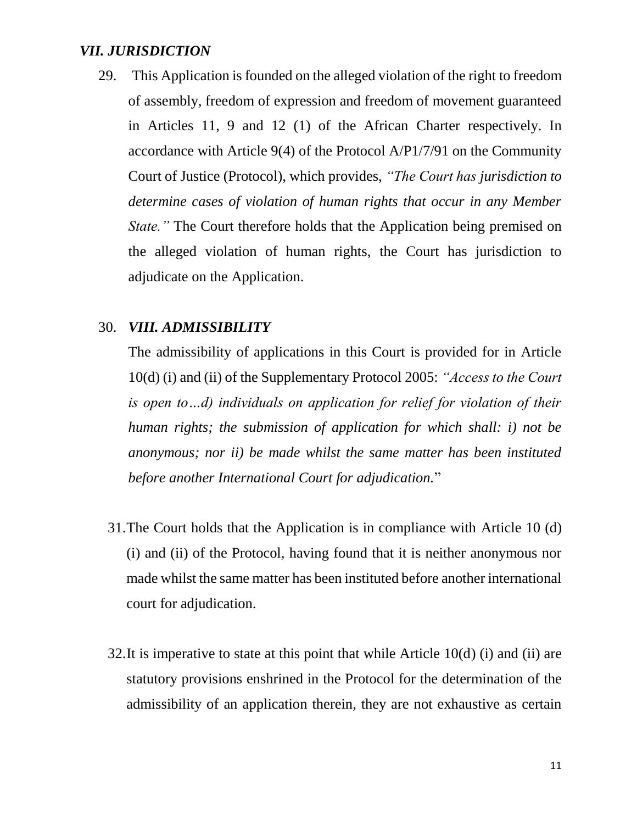#### *VII. JURISDICTION*

29. This Application is founded on the alleged violation of the right to freedom of assembly, freedom of expression and freedom of movement guaranteed in Articles 11, 9 and 12 (1) of the African Charter respectively. In accordance with Article 9(4) of the Protocol A/P1/7/91 on the Community Court of Justice (Protocol), which provides, *"The Court has jurisdiction to determine cases of violation of human rights that occur in any Member State.*" The Court therefore holds that the Application being premised on the alleged violation of human rights, the Court has jurisdiction to adjudicate on the Application.

#### 30. *VIII. ADMISSIBILITY*

The admissibility of applications in this Court is provided for in Article 10(d) (i) and (ii) of the Supplementary Protocol 2005: *"Access to the Court is open to…d) individuals on application for relief for violation of their human rights; the submission of application for which shall: i) not be anonymous; nor ii) be made whilst the same matter has been instituted before another International Court for adjudication.*"

- 31.The Court holds that the Application is in compliance with Article 10 (d) (i) and (ii) of the Protocol, having found that it is neither anonymous nor made whilst the same matter has been instituted before another international court for adjudication.
- 32.It is imperative to state at this point that while Article 10(d) (i) and (ii) are statutory provisions enshrined in the Protocol for the determination of the admissibility of an application therein, they are not exhaustive as certain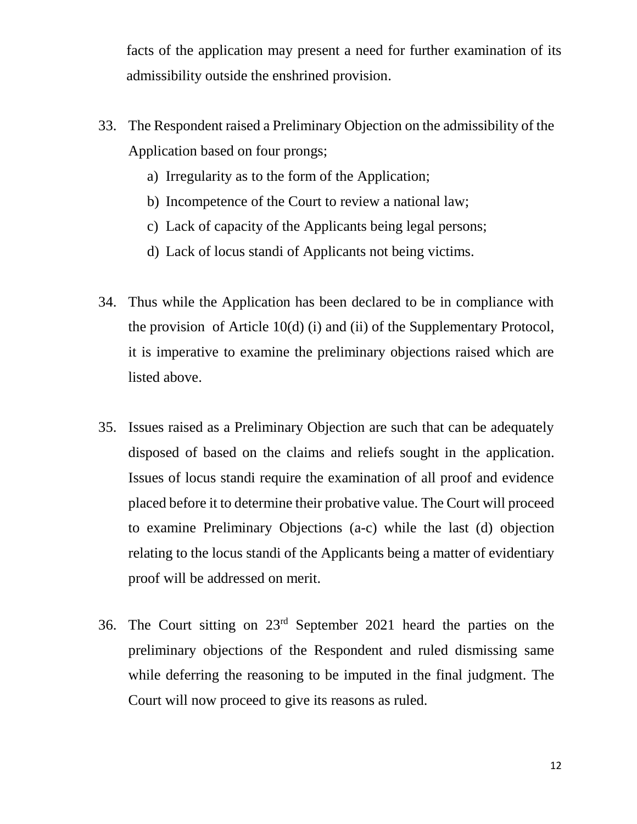facts of the application may present a need for further examination of its admissibility outside the enshrined provision.

- 33. The Respondent raised a Preliminary Objection on the admissibility of the Application based on four prongs;
	- a) Irregularity as to the form of the Application;
	- b) Incompetence of the Court to review a national law;
	- c) Lack of capacity of the Applicants being legal persons;
	- d) Lack of locus standi of Applicants not being victims.
- 34. Thus while the Application has been declared to be in compliance with the provision of Article 10(d) (i) and (ii) of the Supplementary Protocol, it is imperative to examine the preliminary objections raised which are listed above.
- 35. Issues raised as a Preliminary Objection are such that can be adequately disposed of based on the claims and reliefs sought in the application. Issues of locus standi require the examination of all proof and evidence placed before it to determine their probative value. The Court will proceed to examine Preliminary Objections (a-c) while the last (d) objection relating to the locus standi of the Applicants being a matter of evidentiary proof will be addressed on merit.
- 36. The Court sitting on 23rd September 2021 heard the parties on the preliminary objections of the Respondent and ruled dismissing same while deferring the reasoning to be imputed in the final judgment. The Court will now proceed to give its reasons as ruled.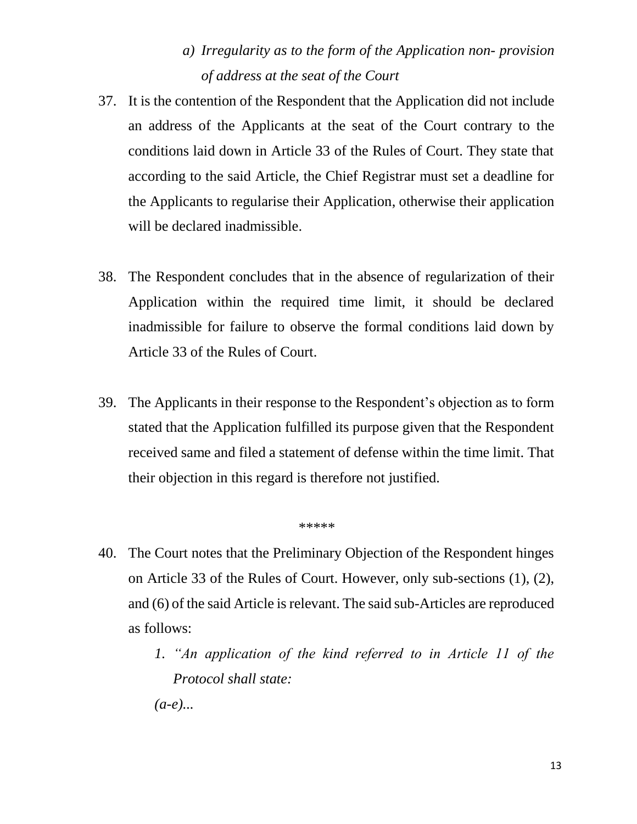# *a) Irregularity as to the form of the Application non- provision of address at the seat of the Court*

- 37. It is the contention of the Respondent that the Application did not include an address of the Applicants at the seat of the Court contrary to the conditions laid down in Article 33 of the Rules of Court. They state that according to the said Article, the Chief Registrar must set a deadline for the Applicants to regularise their Application, otherwise their application will be declared inadmissible.
- 38. The Respondent concludes that in the absence of regularization of their Application within the required time limit, it should be declared inadmissible for failure to observe the formal conditions laid down by Article 33 of the Rules of Court.
- 39. The Applicants in their response to the Respondent's objection as to form stated that the Application fulfilled its purpose given that the Respondent received same and filed a statement of defense within the time limit. That their objection in this regard is therefore not justified.

#### \*\*\*\*\*

- 40. The Court notes that the Preliminary Objection of the Respondent hinges on Article 33 of the Rules of Court. However, only sub-sections (1), (2), and (6) of the said Article is relevant. The said sub-Articles are reproduced as follows:
	- *1. "An application of the kind referred to in Article 11 of the Protocol shall state: (a-e)...*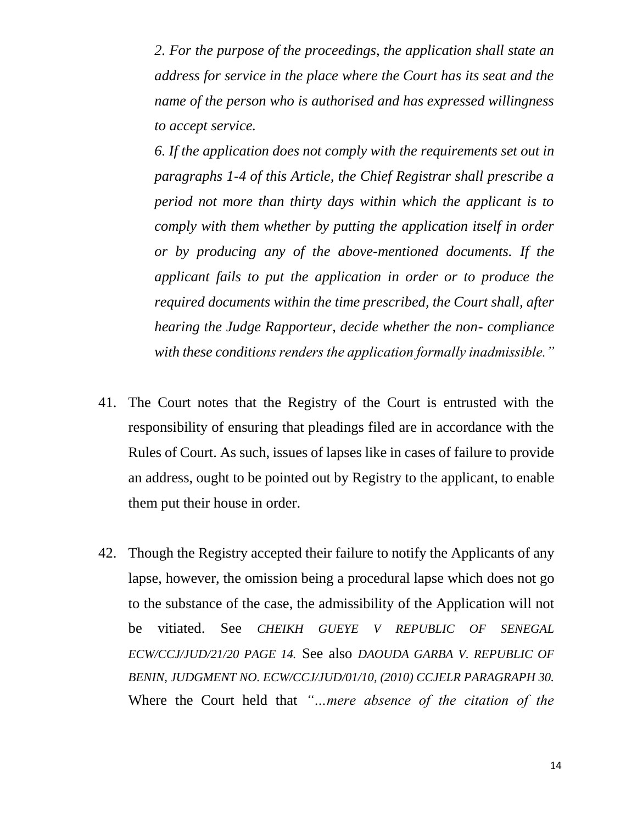*2. For the purpose of the proceedings, the application shall state an address for service in the place where the Court has its seat and the name of the person who is authorised and has expressed willingness to accept service.*

*6. If the application does not comply with the requirements set out in paragraphs 1-4 of this Article, the Chief Registrar shall prescribe a period not more than thirty days within which the applicant is to comply with them whether by putting the application itself in order or by producing any of the above-mentioned documents. If the applicant fails to put the application in order or to produce the required documents within the time prescribed, the Court shall, after hearing the Judge Rapporteur, decide whether the non- compliance with these conditions renders the application formally inadmissible."*

- 41. The Court notes that the Registry of the Court is entrusted with the responsibility of ensuring that pleadings filed are in accordance with the Rules of Court. As such, issues of lapses like in cases of failure to provide an address, ought to be pointed out by Registry to the applicant, to enable them put their house in order.
- 42. Though the Registry accepted their failure to notify the Applicants of any lapse, however, the omission being a procedural lapse which does not go to the substance of the case, the admissibility of the Application will not be vitiated. See *CHEIKH GUEYE V REPUBLIC OF SENEGAL ECW/CCJ/JUD/21/20 PAGE 14.* See also *DAOUDA GARBA V. REPUBLIC OF BENIN, JUDGMENT NO. ECW/CCJ/JUD/01/10, (2010) CCJELR PARAGRAPH 30.* Where the Court held that *"…mere absence of the citation of the*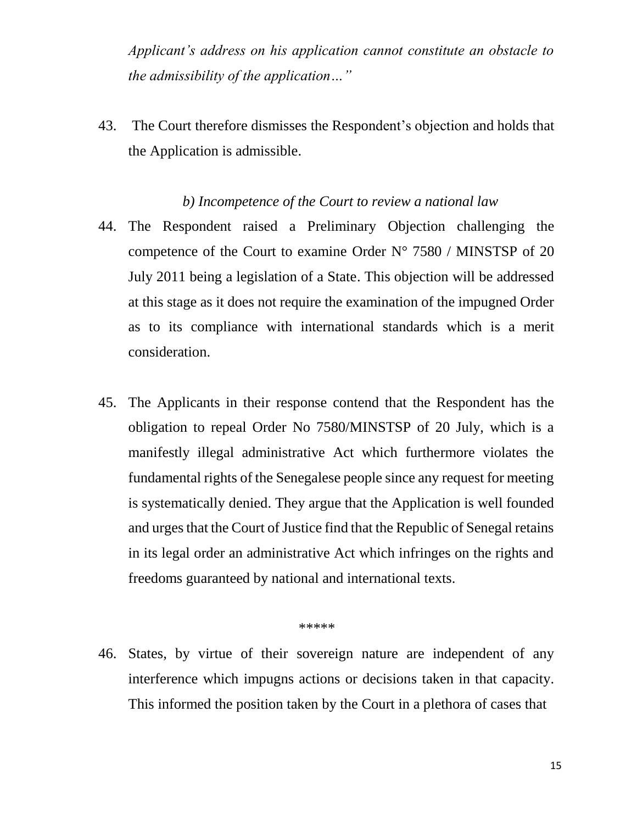*Applicant's address on his application cannot constitute an obstacle to the admissibility of the application…"*

43. The Court therefore dismisses the Respondent's objection and holds that the Application is admissible.

#### *b) Incompetence of the Court to review a national law*

- 44. The Respondent raised a Preliminary Objection challenging the competence of the Court to examine Order N° 7580 / MINSTSP of 20 July 2011 being a legislation of a State. This objection will be addressed at this stage as it does not require the examination of the impugned Order as to its compliance with international standards which is a merit consideration.
- 45. The Applicants in their response contend that the Respondent has the obligation to repeal Order No 7580/MINSTSP of 20 July, which is a manifestly illegal administrative Act which furthermore violates the fundamental rights of the Senegalese people since any request for meeting is systematically denied. They argue that the Application is well founded and urges that the Court of Justice find that the Republic of Senegal retains in its legal order an administrative Act which infringes on the rights and freedoms guaranteed by national and international texts.

#### \*\*\*\*\*

46. States, by virtue of their sovereign nature are independent of any interference which impugns actions or decisions taken in that capacity. This informed the position taken by the Court in a plethora of cases that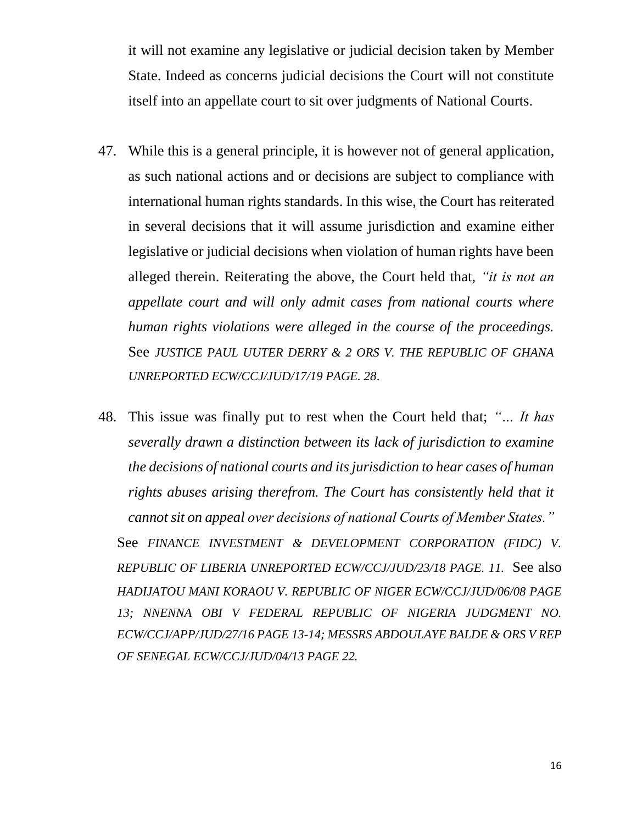it will not examine any legislative or judicial decision taken by Member State. Indeed as concerns judicial decisions the Court will not constitute itself into an appellate court to sit over judgments of National Courts.

- 47. While this is a general principle, it is however not of general application, as such national actions and or decisions are subject to compliance with international human rights standards. In this wise, the Court has reiterated in several decisions that it will assume jurisdiction and examine either legislative or judicial decisions when violation of human rights have been alleged therein. Reiterating the above, the Court held that, *"it is not an appellate court and will only admit cases from national courts where human rights violations were alleged in the course of the proceedings.*  See *JUSTICE PAUL UUTER DERRY & 2 ORS V. THE REPUBLIC OF GHANA UNREPORTED ECW/CCJ/JUD/17/19 PAGE. 28*.
- 48. This issue was finally put to rest when the Court held that; *"… It has severally drawn a distinction between its lack of jurisdiction to examine the decisions of national courts and its jurisdiction to hear cases of human rights abuses arising therefrom. The Court has consistently held that it cannot sit on appeal over decisions of national Courts of Member States."* See FINANCE INVESTMENT & DEVELOPMENT CORPORATION (FIDC) V. *REPUBLIC OF LIBERIA UNREPORTED ECW/CCJ/JUD/23/18 PAGE. 11.* See also *HADIJATOU MANI KORAOU V. REPUBLIC OF NIGER ECW/CCJ/JUD/06/08 PAGE 13; NNENNA OBI V FEDERAL REPUBLIC OF NIGERIA JUDGMENT NO. ECW/CCJ/APP/JUD/27/16 PAGE 13-14; MESSRS ABDOULAYE BALDE & ORS V REP OF SENEGAL ECW/CCJ/JUD/04/13 PAGE 22.*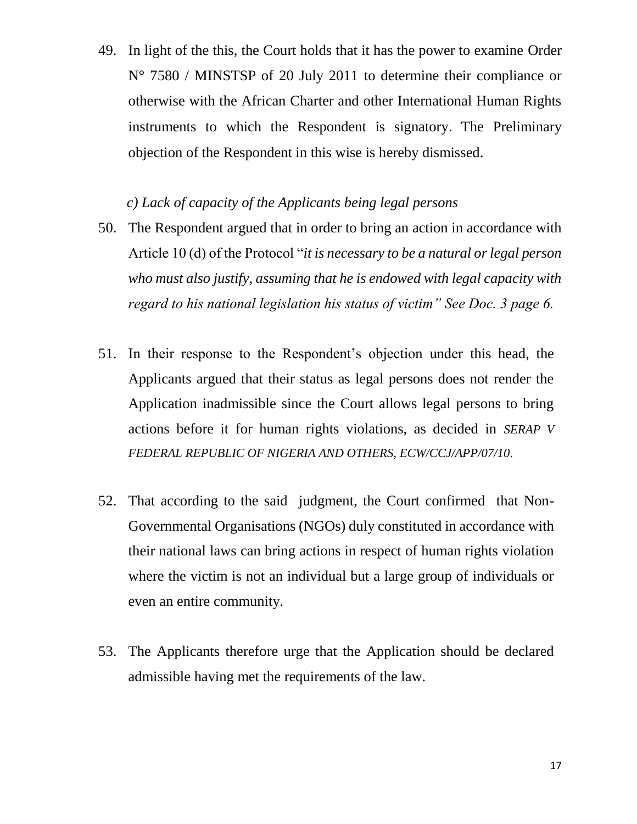49. In light of the this, the Court holds that it has the power to examine Order N° 7580 / MINSTSP of 20 July 2011 to determine their compliance or otherwise with the African Charter and other International Human Rights instruments to which the Respondent is signatory. The Preliminary objection of the Respondent in this wise is hereby dismissed.

### *c) Lack of capacity of the Applicants being legal persons*

- 50. The Respondent argued that in order to bring an action in accordance with Article 10 (d) of the Protocol "*it is necessary to be a natural or legal person who must also justify, assuming that he is endowed with legal capacity with regard to his national legislation his status of victim" See Doc. 3 page 6.*
- 51. In their response to the Respondent's objection under this head, the Applicants argued that their status as legal persons does not render the Application inadmissible since the Court allows legal persons to bring actions before it for human rights violations, as decided in *SERAP V FEDERAL REPUBLIC OF NIGERIA AND OTHERS, ECW/CCJ/APP/07/10*.
- 52. That according to the said judgment, the Court confirmed that Non-Governmental Organisations (NGOs) duly constituted in accordance with their national laws can bring actions in respect of human rights violation where the victim is not an individual but a large group of individuals or even an entire community.
- 53. The Applicants therefore urge that the Application should be declared admissible having met the requirements of the law.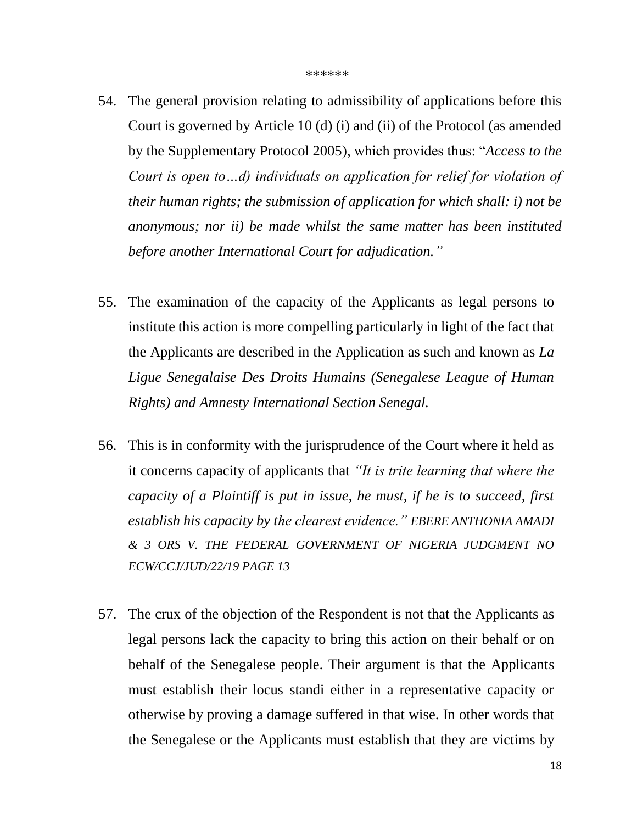- 54. The general provision relating to admissibility of applications before this Court is governed by Article 10 (d) (i) and (ii) of the Protocol (as amended by the Supplementary Protocol 2005), which provides thus: "*Access to the Court is open to…d) individuals on application for relief for violation of their human rights; the submission of application for which shall: i) not be anonymous; nor ii) be made whilst the same matter has been instituted before another International Court for adjudication."*
- 55. The examination of the capacity of the Applicants as legal persons to institute this action is more compelling particularly in light of the fact that the Applicants are described in the Application as such and known as *La Ligue Senegalaise Des Droits Humains (Senegalese League of Human Rights) and Amnesty International Section Senegal.*
- 56. This is in conformity with the jurisprudence of the Court where it held as it concerns capacity of applicants that *"It is trite learning that where the capacity of a Plaintiff is put in issue, he must, if he is to succeed, first establish his capacity by the clearest evidence." EBERE ANTHONIA AMADI & 3 ORS V. THE FEDERAL GOVERNMENT OF NIGERIA JUDGMENT NO ECW/CCJ/JUD/22/19 PAGE 13*
- 57. The crux of the objection of the Respondent is not that the Applicants as legal persons lack the capacity to bring this action on their behalf or on behalf of the Senegalese people. Their argument is that the Applicants must establish their locus standi either in a representative capacity or otherwise by proving a damage suffered in that wise. In other words that the Senegalese or the Applicants must establish that they are victims by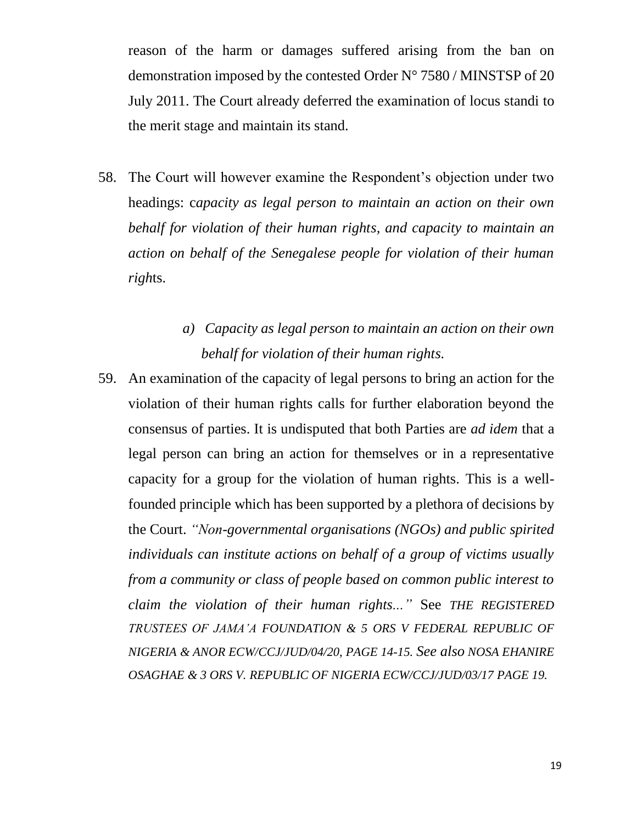reason of the harm or damages suffered arising from the ban on demonstration imposed by the contested Order N° 7580 / MINSTSP of 20 July 2011. The Court already deferred the examination of locus standi to the merit stage and maintain its stand.

- 58. The Court will however examine the Respondent's objection under two headings: c*apacity as legal person to maintain an action on their own behalf for violation of their human rights, and capacity to maintain an action on behalf of the Senegalese people for violation of their human righ*ts.
	- *a) Capacity as legal person to maintain an action on their own behalf for violation of their human rights.*
- 59. An examination of the capacity of legal persons to bring an action for the violation of their human rights calls for further elaboration beyond the consensus of parties. It is undisputed that both Parties are *ad idem* that a legal person can bring an action for themselves or in a representative capacity for a group for the violation of human rights. This is a wellfounded principle which has been supported by a plethora of decisions by the Court. *"Non-governmental organisations (NGOs) and public spirited individuals can institute actions on behalf of a group of victims usually from a community or class of people based on common public interest to claim the violation of their human rights..."* See *THE REGISTERED TRUSTEES OF JAMA'A FOUNDATION & 5 ORS V FEDERAL REPUBLIC OF NIGERIA & ANOR ECW/CCJ/JUD/04/20, PAGE 14-15. See also NOSA EHANIRE OSAGHAE & 3 ORS V. REPUBLIC OF NIGERIA ECW/CCJ/JUD/03/17 PAGE 19.*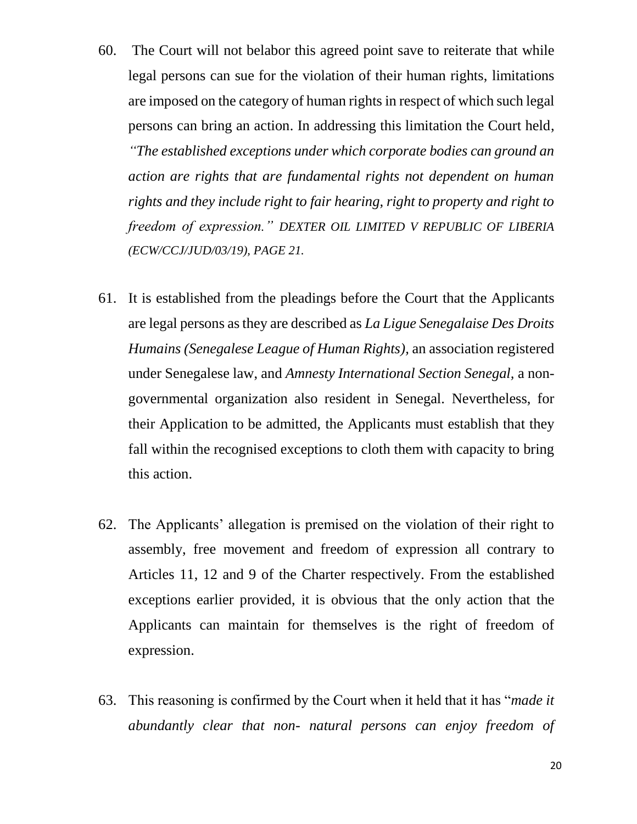- 60. The Court will not belabor this agreed point save to reiterate that while legal persons can sue for the violation of their human rights, limitations are imposed on the category of human rights in respect of which such legal persons can bring an action. In addressing this limitation the Court held, *"The established exceptions under which corporate bodies can ground an action are rights that are fundamental rights not dependent on human rights and they include right to fair hearing, right to property and right to freedom of expression." DEXTER OIL LIMITED V REPUBLIC OF LIBERIA (ECW/CCJ/JUD/03/19), PAGE 21.*
- 61. It is established from the pleadings before the Court that the Applicants are legal persons as they are described as *La Ligue Senegalaise Des Droits Humains (Senegalese League of Human Rights),* an association registered under Senegalese law, and *Amnesty International Section Senegal,* a nongovernmental organization also resident in Senegal. Nevertheless, for their Application to be admitted, the Applicants must establish that they fall within the recognised exceptions to cloth them with capacity to bring this action.
- 62. The Applicants' allegation is premised on the violation of their right to assembly, free movement and freedom of expression all contrary to Articles 11, 12 and 9 of the Charter respectively. From the established exceptions earlier provided, it is obvious that the only action that the Applicants can maintain for themselves is the right of freedom of expression.
- 63. This reasoning is confirmed by the Court when it held that it has "*made it abundantly clear that non- natural persons can enjoy freedom of*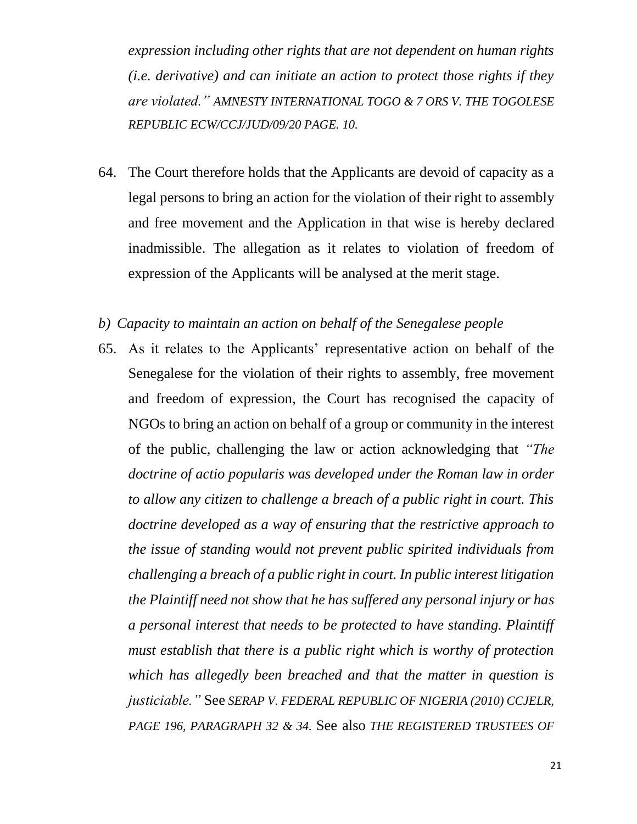*expression including other rights that are not dependent on human rights (i.e. derivative) and can initiate an action to protect those rights if they are violated." AMNESTY INTERNATIONAL TOGO & 7 ORS V. THE TOGOLESE REPUBLIC ECW/CCJ/JUD/09/20 PAGE. 10.*

- 64. The Court therefore holds that the Applicants are devoid of capacity as a legal persons to bring an action for the violation of their right to assembly and free movement and the Application in that wise is hereby declared inadmissible. The allegation as it relates to violation of freedom of expression of the Applicants will be analysed at the merit stage.
- *b) Capacity to maintain an action on behalf of the Senegalese people*
- 65. As it relates to the Applicants' representative action on behalf of the Senegalese for the violation of their rights to assembly, free movement and freedom of expression, the Court has recognised the capacity of NGOs to bring an action on behalf of a group or community in the interest of the public, challenging the law or action acknowledging that *"The doctrine of actio popularis was developed under the Roman law in order to allow any citizen to challenge a breach of a public right in court. This doctrine developed as a way of ensuring that the restrictive approach to the issue of standing would not prevent public spirited individuals from challenging a breach of a public right in court. In public interest litigation the Plaintiff need not show that he has suffered any personal injury or has a personal interest that needs to be protected to have standing. Plaintiff must establish that there is a public right which is worthy of protection which has allegedly been breached and that the matter in question is justiciable."* See *SERAP V. FEDERAL REPUBLIC OF NIGERIA (2010) CCJELR, PAGE 196, PARAGRAPH 32 & 34.* See also *THE REGISTERED TRUSTEES OF*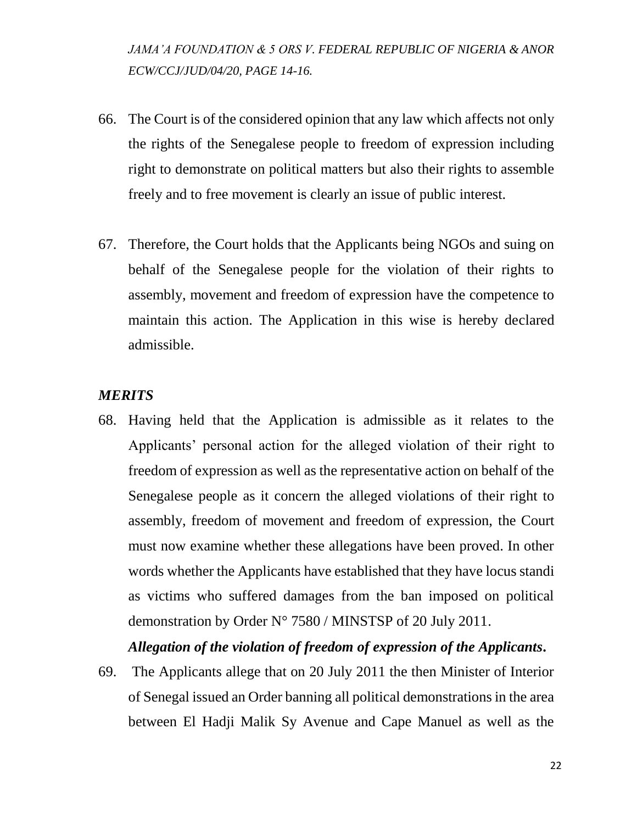*JAMA'A FOUNDATION & 5 ORS V. FEDERAL REPUBLIC OF NIGERIA & ANOR ECW/CCJ/JUD/04/20, PAGE 14-16.*

- 66. The Court is of the considered opinion that any law which affects not only the rights of the Senegalese people to freedom of expression including right to demonstrate on political matters but also their rights to assemble freely and to free movement is clearly an issue of public interest.
- 67. Therefore, the Court holds that the Applicants being NGOs and suing on behalf of the Senegalese people for the violation of their rights to assembly, movement and freedom of expression have the competence to maintain this action. The Application in this wise is hereby declared admissible.

### *MERITS*

68. Having held that the Application is admissible as it relates to the Applicants' personal action for the alleged violation of their right to freedom of expression as well as the representative action on behalf of the Senegalese people as it concern the alleged violations of their right to assembly, freedom of movement and freedom of expression, the Court must now examine whether these allegations have been proved. In other words whether the Applicants have established that they have locus standi as victims who suffered damages from the ban imposed on political demonstration by Order N° 7580 / MINSTSP of 20 July 2011.

### *Allegation of the violation of freedom of expression of the Applicants***.**

69. The Applicants allege that on 20 July 2011 the then Minister of Interior of Senegal issued an Order banning all political demonstrations in the area between El Hadji Malik Sy Avenue and Cape Manuel as well as the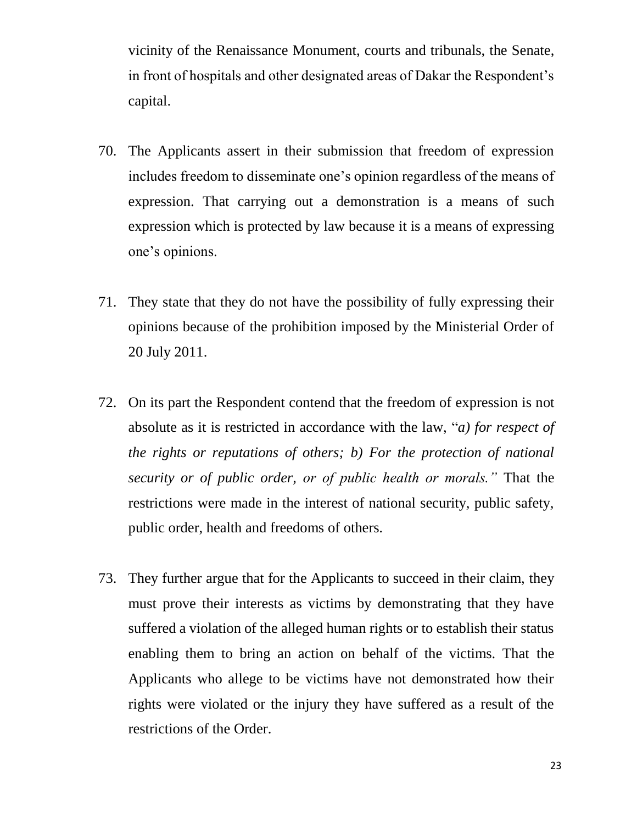vicinity of the Renaissance Monument, courts and tribunals, the Senate, in front of hospitals and other designated areas of Dakar the Respondent's capital.

- 70. The Applicants assert in their submission that freedom of expression includes freedom to disseminate one's opinion regardless of the means of expression. That carrying out a demonstration is a means of such expression which is protected by law because it is a means of expressing one's opinions.
- 71. They state that they do not have the possibility of fully expressing their opinions because of the prohibition imposed by the Ministerial Order of 20 July 2011.
- 72. On its part the Respondent contend that the freedom of expression is not absolute as it is restricted in accordance with the law, "*a) for respect of the rights or reputations of others; b) For the protection of national security or of public order, or of public health or morals."* That the restrictions were made in the interest of national security, public safety, public order, health and freedoms of others*.*
- 73. They further argue that for the Applicants to succeed in their claim, they must prove their interests as victims by demonstrating that they have suffered a violation of the alleged human rights or to establish their status enabling them to bring an action on behalf of the victims. That the Applicants who allege to be victims have not demonstrated how their rights were violated or the injury they have suffered as a result of the restrictions of the Order.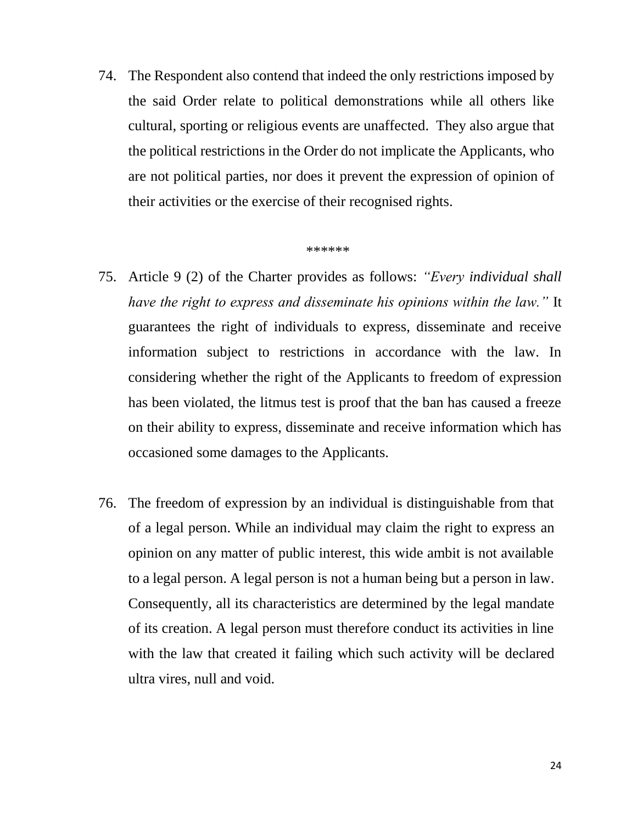74. The Respondent also contend that indeed the only restrictions imposed by the said Order relate to political demonstrations while all others like cultural, sporting or religious events are unaffected. They also argue that the political restrictions in the Order do not implicate the Applicants, who are not political parties, nor does it prevent the expression of opinion of their activities or the exercise of their recognised rights.

#### *\*\*\*\*\*\**

- 75. Article 9 (2) of the Charter provides as follows: *"Every individual shall have the right to express and disseminate his opinions within the law."* It guarantees the right of individuals to express, disseminate and receive information subject to restrictions in accordance with the law. In considering whether the right of the Applicants to freedom of expression has been violated, the litmus test is proof that the ban has caused a freeze on their ability to express, disseminate and receive information which has occasioned some damages to the Applicants.
- 76. The freedom of expression by an individual is distinguishable from that of a legal person. While an individual may claim the right to express an opinion on any matter of public interest, this wide ambit is not available to a legal person. A legal person is not a human being but a person in law. Consequently, all its characteristics are determined by the legal mandate of its creation. A legal person must therefore conduct its activities in line with the law that created it failing which such activity will be declared ultra vires, null and void.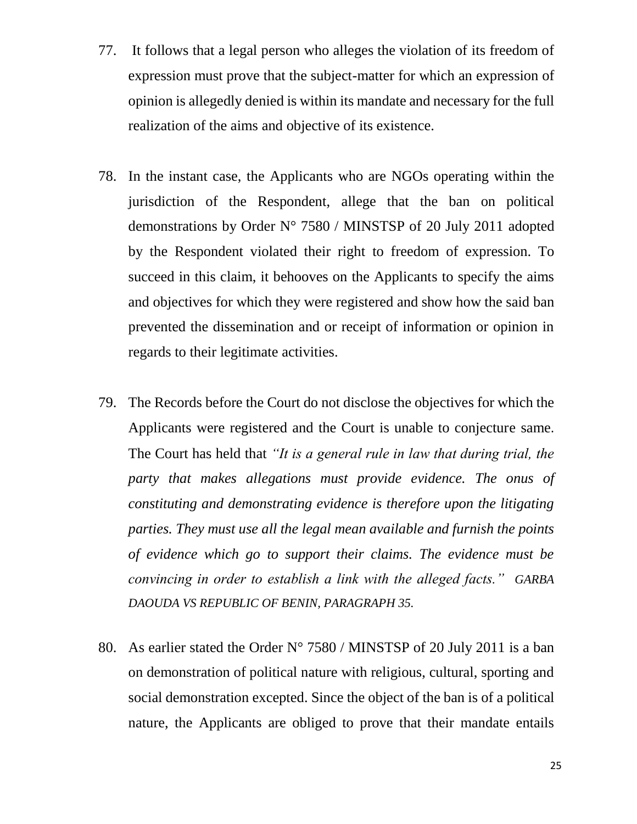- 77. It follows that a legal person who alleges the violation of its freedom of expression must prove that the subject-matter for which an expression of opinion is allegedly denied is within its mandate and necessary for the full realization of the aims and objective of its existence.
- 78. In the instant case, the Applicants who are NGOs operating within the jurisdiction of the Respondent, allege that the ban on political demonstrations by Order N° 7580 / MINSTSP of 20 July 2011 adopted by the Respondent violated their right to freedom of expression. To succeed in this claim, it behooves on the Applicants to specify the aims and objectives for which they were registered and show how the said ban prevented the dissemination and or receipt of information or opinion in regards to their legitimate activities.
- 79. The Records before the Court do not disclose the objectives for which the Applicants were registered and the Court is unable to conjecture same. The Court has held that *"It is a general rule in law that during trial, the party that makes allegations must provide evidence. The onus of constituting and demonstrating evidence is therefore upon the litigating parties. They must use all the legal mean available and furnish the points of evidence which go to support their claims. The evidence must be convincing in order to establish a link with the alleged facts." GARBA DAOUDA VS REPUBLIC OF BENIN, PARAGRAPH 35.*
- 80. As earlier stated the Order  $N^{\circ}$  7580 / MINSTSP of 20 July 2011 is a ban on demonstration of political nature with religious, cultural, sporting and social demonstration excepted. Since the object of the ban is of a political nature, the Applicants are obliged to prove that their mandate entails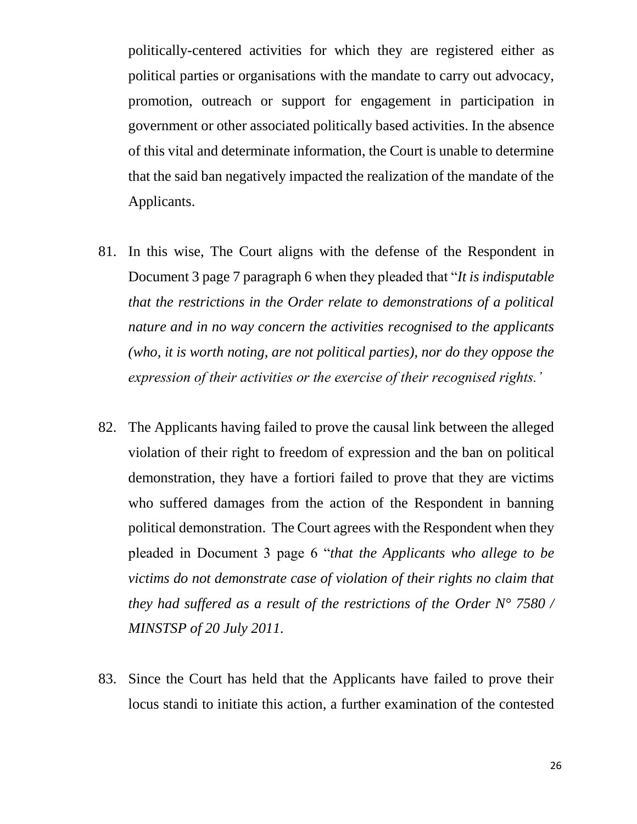politically-centered activities for which they are registered either as political parties or organisations with the mandate to carry out advocacy, promotion, outreach or support for engagement in participation in government or other associated politically based activities. In the absence of this vital and determinate information, the Court is unable to determine that the said ban negatively impacted the realization of the mandate of the Applicants.

- 81. In this wise, The Court aligns with the defense of the Respondent in Document 3 page 7 paragraph 6 when they pleaded that "*It is indisputable that the restrictions in the Order relate to demonstrations of a political nature and in no way concern the activities recognised to the applicants (who, it is worth noting, are not political parties), nor do they oppose the expression of their activities or the exercise of their recognised rights.'*
- 82. The Applicants having failed to prove the causal link between the alleged violation of their right to freedom of expression and the ban on political demonstration, they have a fortiori failed to prove that they are victims who suffered damages from the action of the Respondent in banning political demonstration. The Court agrees with the Respondent when they pleaded in Document 3 page 6 "*that the Applicants who allege to be victims do not demonstrate case of violation of their rights no claim that they had suffered as a result of the restrictions of the Order N° 7580 / MINSTSP of 20 July 2011.*
- 83. Since the Court has held that the Applicants have failed to prove their locus standi to initiate this action, a further examination of the contested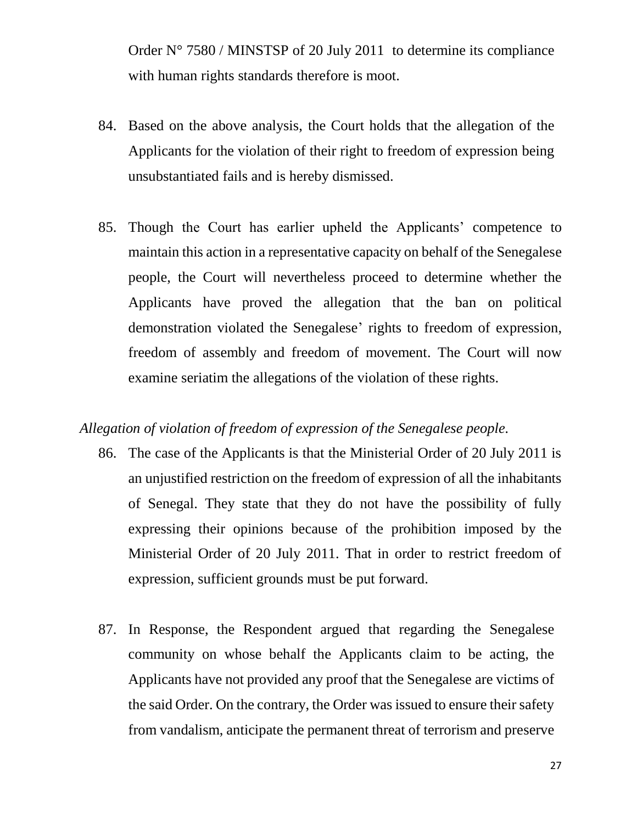Order N° 7580 / MINSTSP of 20 July 2011 to determine its compliance with human rights standards therefore is moot.

- 84. Based on the above analysis, the Court holds that the allegation of the Applicants for the violation of their right to freedom of expression being unsubstantiated fails and is hereby dismissed.
- 85. Though the Court has earlier upheld the Applicants' competence to maintain this action in a representative capacity on behalf of the Senegalese people, the Court will nevertheless proceed to determine whether the Applicants have proved the allegation that the ban on political demonstration violated the Senegalese' rights to freedom of expression, freedom of assembly and freedom of movement. The Court will now examine seriatim the allegations of the violation of these rights.

### *Allegation of violation of freedom of expression of the Senegalese people.*

- 86. The case of the Applicants is that the Ministerial Order of 20 July 2011 is an unjustified restriction on the freedom of expression of all the inhabitants of Senegal. They state that they do not have the possibility of fully expressing their opinions because of the prohibition imposed by the Ministerial Order of 20 July 2011. That in order to restrict freedom of expression, sufficient grounds must be put forward.
- 87. In Response, the Respondent argued that regarding the Senegalese community on whose behalf the Applicants claim to be acting, the Applicants have not provided any proof that the Senegalese are victims of the said Order. On the contrary, the Order was issued to ensure their safety from vandalism, anticipate the permanent threat of terrorism and preserve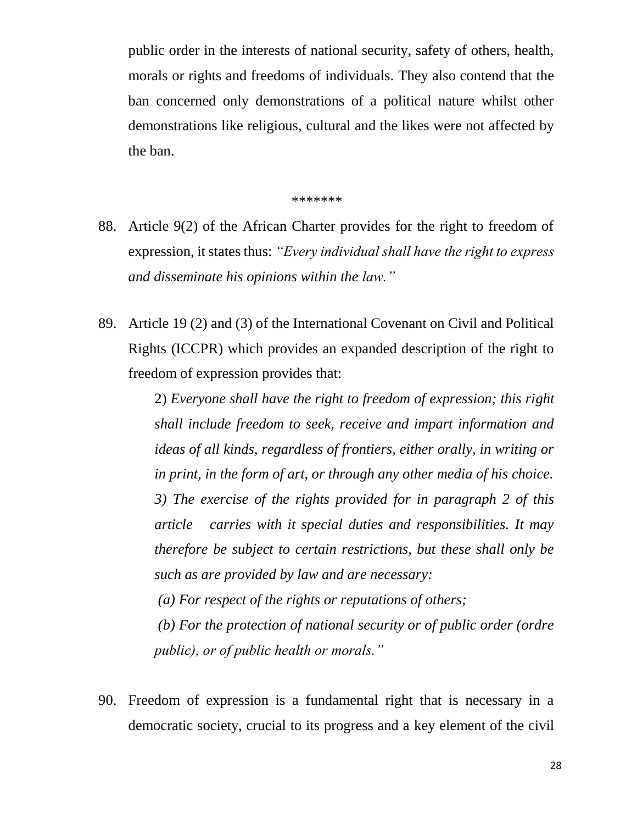public order in the interests of national security, safety of others, health, morals or rights and freedoms of individuals. They also contend that the ban concerned only demonstrations of a political nature whilst other demonstrations like religious, cultural and the likes were not affected by the ban.

\*\*\*\*\*\*\*

- 88. Article 9(2) of the African Charter provides for the right to freedom of expression, it states thus: *"Every individual shall have the right to express and disseminate his opinions within the law."*
- 89. Article 19 (2) and (3) of the International Covenant on Civil and Political Rights (ICCPR) which provides an expanded description of the right to freedom of expression provides that:

2) *Everyone shall have the right to freedom of expression; this right shall include freedom to seek, receive and impart information and ideas of all kinds, regardless of frontiers, either orally, in writing or in print, in the form of art, or through any other media of his choice. 3) The exercise of the rights provided for in paragraph 2 of this article carries with it special duties and responsibilities. It may therefore be subject to certain restrictions, but these shall only be such as are provided by law and are necessary:*

 *(a) For respect of the rights or reputations of others; (b) For the protection of national security or of public order (ordre public), or of public health or morals."*

90. Freedom of expression is a fundamental right that is necessary in a democratic society, crucial to its progress and a key element of the civil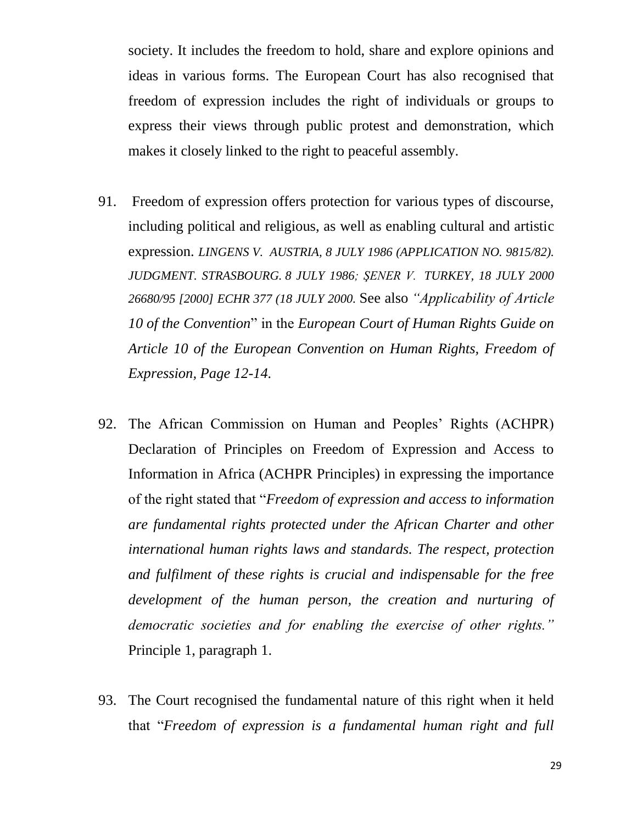society. It includes the freedom to hold, share and explore opinions and ideas in various forms. The European Court has also recognised that freedom of expression includes the right of individuals or groups to express their views through public protest and demonstration, which makes it closely linked to the right to peaceful assembly.

- 91. Freedom of expression offers protection for various types of discourse, including political and religious, as well as enabling cultural and artistic expression. *LINGENS V. AUSTRIA, 8 JULY 1986 (APPLICATION NO. 9815/82). JUDGMENT. STRASBOURG. 8 JULY 1986; ŞENER V. TURKEY, 18 JULY 2000 26680/95 [2000] ECHR 377 (18 JULY 2000.* See also *"Applicability of Article 10 of the Convention*" in the *European Court of Human Rights Guide on Article 10 of the European Convention on Human Rights, Freedom of Expression, Page 12-14.*
- 92. The African Commission on Human and Peoples' Rights (ACHPR) Declaration of Principles on Freedom of Expression and Access to Information in Africa (ACHPR Principles) in expressing the importance of the right stated that "*Freedom of expression and access to information are fundamental rights protected under the African Charter and other international human rights laws and standards. The respect, protection and fulfilment of these rights is crucial and indispensable for the free development of the human person, the creation and nurturing of democratic societies and for enabling the exercise of other rights."*  Principle 1, paragraph 1.
- 93. The Court recognised the fundamental nature of this right when it held that "*Freedom of expression is a fundamental human right and full*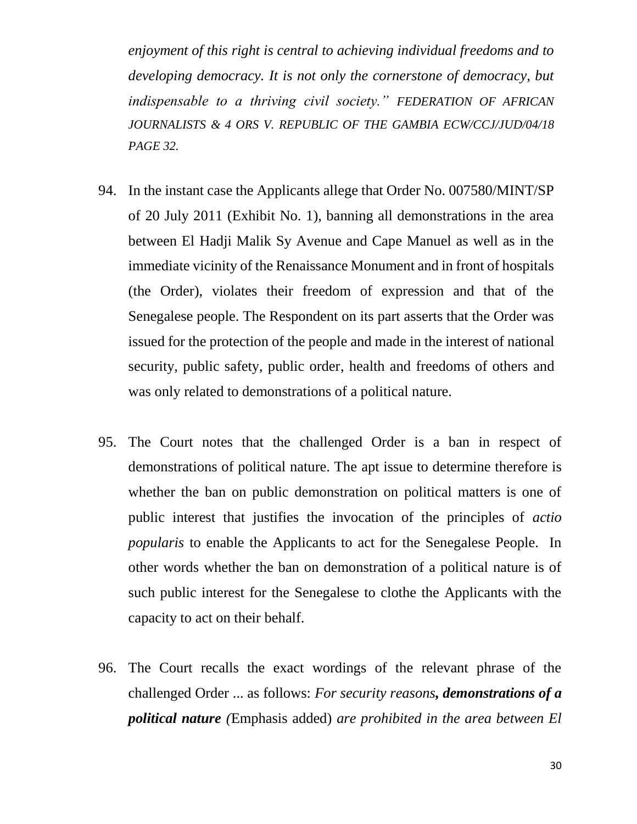*enjoyment of this right is central to achieving individual freedoms and to developing democracy. It is not only the cornerstone of democracy, but indispensable to a thriving civil society." FEDERATION OF AFRICAN JOURNALISTS & 4 ORS V. REPUBLIC OF THE GAMBIA ECW/CCJ/JUD/04/18 PAGE 32.*

- 94. In the instant case the Applicants allege that Order No. 007580/MINT/SP of 20 July 2011 (Exhibit No. 1), banning all demonstrations in the area between El Hadji Malik Sy Avenue and Cape Manuel as well as in the immediate vicinity of the Renaissance Monument and in front of hospitals (the Order), violates their freedom of expression and that of the Senegalese people. The Respondent on its part asserts that the Order was issued for the protection of the people and made in the interest of national security, public safety, public order, health and freedoms of others and was only related to demonstrations of a political nature.
- 95. The Court notes that the challenged Order is a ban in respect of demonstrations of political nature. The apt issue to determine therefore is whether the ban on public demonstration on political matters is one of public interest that justifies the invocation of the principles of *actio popularis* to enable the Applicants to act for the Senegalese People. In other words whether the ban on demonstration of a political nature is of such public interest for the Senegalese to clothe the Applicants with the capacity to act on their behalf.
- 96. The Court recalls the exact wordings of the relevant phrase of the challenged Order ... as follows: *For security reasons, demonstrations of a political nature (*Emphasis added) *are prohibited in the area between El*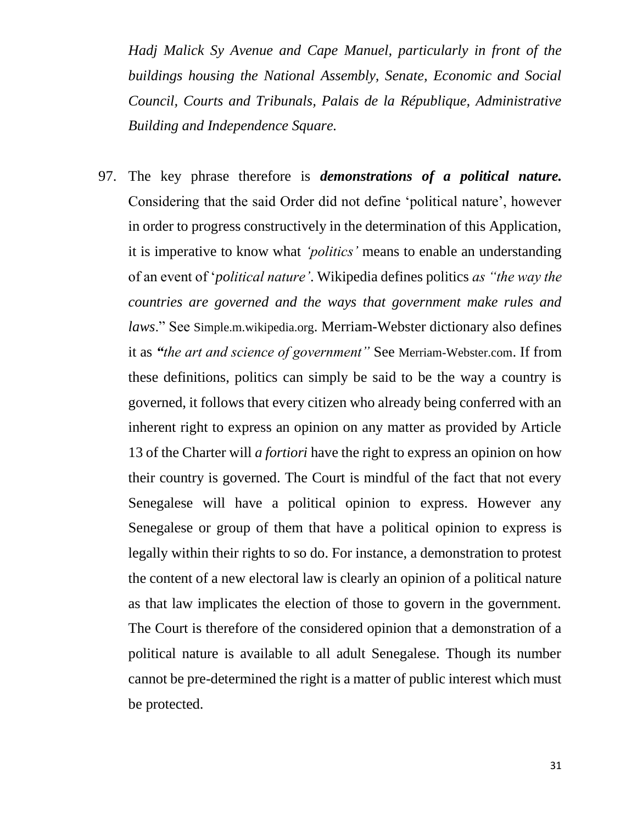*Hadj Malick Sy Avenue and Cape Manuel, particularly in front of the buildings housing the National Assembly, Senate, Economic and Social Council, Courts and Tribunals, Palais de la République, Administrative Building and Independence Square.*

97. The key phrase therefore is *demonstrations of a political nature.*  Considering that the said Order did not define 'political nature', however in order to progress constructively in the determination of this Application, it is imperative to know what *'politics'* means to enable an understanding of an event of '*political nature'*. Wikipedia defines politics *as "the way the countries are governed and the ways that government make rules and laws*." See Simple.m.wikipedia.org. Merriam-Webster dictionary also defines it as *"the art and science of government"* See Merriam-Webster.com. If from these definitions, politics can simply be said to be the way a country is governed, it follows that every citizen who already being conferred with an inherent right to express an opinion on any matter as provided by Article 13 of the Charter will *a fortiori* have the right to express an opinion on how their country is governed. The Court is mindful of the fact that not every Senegalese will have a political opinion to express. However any Senegalese or group of them that have a political opinion to express is legally within their rights to so do. For instance, a demonstration to protest the content of a new electoral law is clearly an opinion of a political nature as that law implicates the election of those to govern in the government. The Court is therefore of the considered opinion that a demonstration of a political nature is available to all adult Senegalese. Though its number cannot be pre-determined the right is a matter of public interest which must be protected.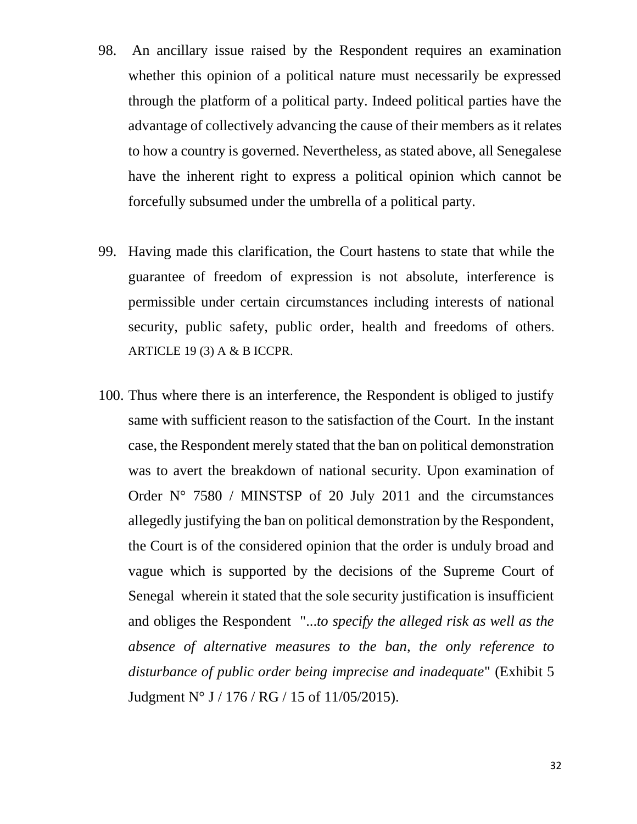- 98. An ancillary issue raised by the Respondent requires an examination whether this opinion of a political nature must necessarily be expressed through the platform of a political party. Indeed political parties have the advantage of collectively advancing the cause of their members as it relates to how a country is governed. Nevertheless, as stated above, all Senegalese have the inherent right to express a political opinion which cannot be forcefully subsumed under the umbrella of a political party.
- 99. Having made this clarification, the Court hastens to state that while the guarantee of freedom of expression is not absolute, interference is permissible under certain circumstances including interests of national security, public safety, public order, health and freedoms of others. ARTICLE 19 (3) A & B ICCPR.
- 100. Thus where there is an interference, the Respondent is obliged to justify same with sufficient reason to the satisfaction of the Court. In the instant case, the Respondent merely stated that the ban on political demonstration was to avert the breakdown of national security. Upon examination of Order  $N^{\circ}$  7580 / MINSTSP of 20 July 2011 and the circumstances allegedly justifying the ban on political demonstration by the Respondent, the Court is of the considered opinion that the order is unduly broad and vague which is supported by the decisions of the Supreme Court of Senegal wherein it stated that the sole security justification is insufficient and obliges the Respondent "...*to specify the alleged risk as well as the absence of alternative measures to the ban, the only reference to disturbance of public order being imprecise and inadequate*" (Exhibit 5 Judgment N° J / 176 / RG / 15 of 11/05/2015).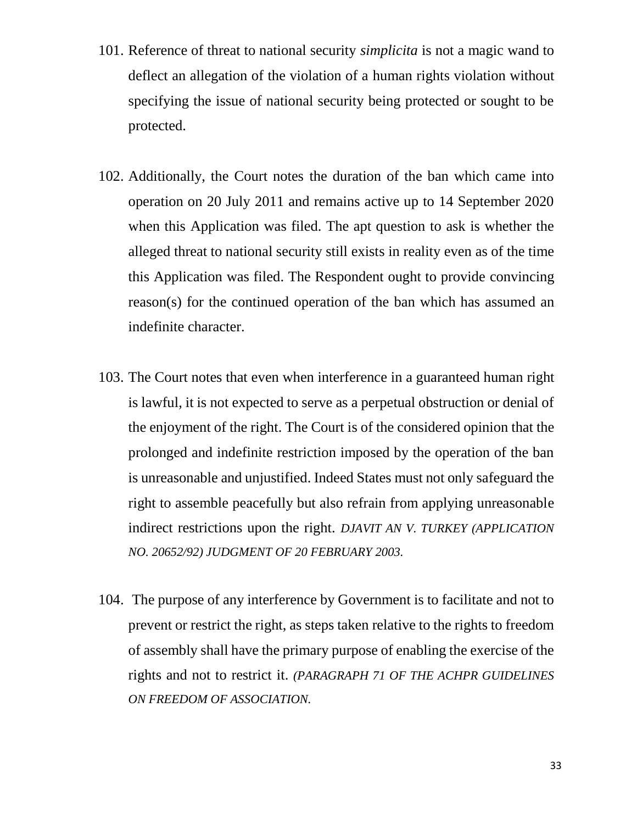- 101. Reference of threat to national security *simplicita* is not a magic wand to deflect an allegation of the violation of a human rights violation without specifying the issue of national security being protected or sought to be protected.
- 102. Additionally, the Court notes the duration of the ban which came into operation on 20 July 2011 and remains active up to 14 September 2020 when this Application was filed. The apt question to ask is whether the alleged threat to national security still exists in reality even as of the time this Application was filed. The Respondent ought to provide convincing reason(s) for the continued operation of the ban which has assumed an indefinite character.
- 103. The Court notes that even when interference in a guaranteed human right is lawful, it is not expected to serve as a perpetual obstruction or denial of the enjoyment of the right. The Court is of the considered opinion that the prolonged and indefinite restriction imposed by the operation of the ban is unreasonable and unjustified. Indeed States must not only safeguard the right to assemble peacefully but also refrain from applying unreasonable indirect restrictions upon the right. *DJAVIT AN V. TURKEY (APPLICATION NO. 20652/92) JUDGMENT OF 20 FEBRUARY 2003.*
- 104. The purpose of any interference by Government is to facilitate and not to prevent or restrict the right, as steps taken relative to the rights to freedom of assembly shall have the primary purpose of enabling the exercise of the rights and not to restrict it. *(PARAGRAPH 71 OF THE ACHPR GUIDELINES ON FREEDOM OF ASSOCIATION.*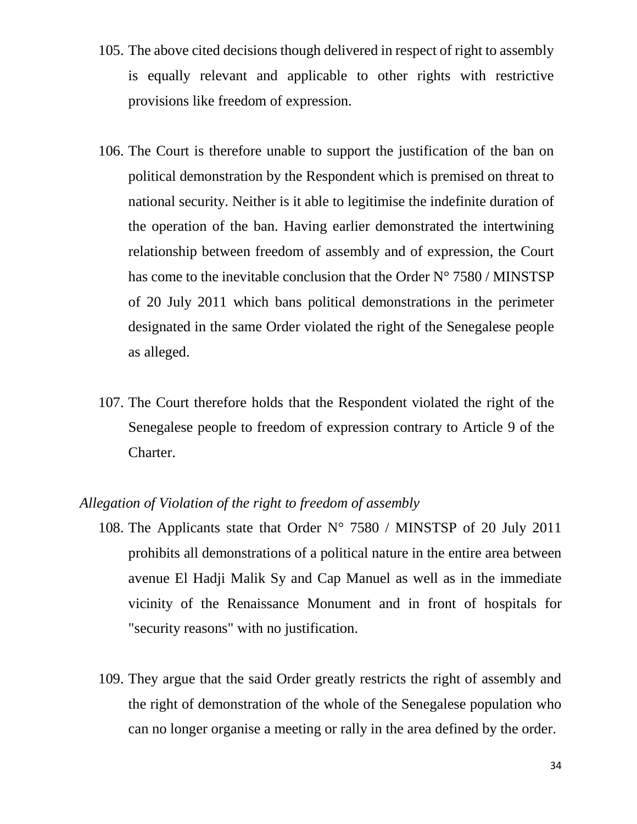- 105. The above cited decisions though delivered in respect of right to assembly is equally relevant and applicable to other rights with restrictive provisions like freedom of expression.
- 106. The Court is therefore unable to support the justification of the ban on political demonstration by the Respondent which is premised on threat to national security. Neither is it able to legitimise the indefinite duration of the operation of the ban. Having earlier demonstrated the intertwining relationship between freedom of assembly and of expression, the Court has come to the inevitable conclusion that the Order N° 7580 / MINSTSP of 20 July 2011 which bans political demonstrations in the perimeter designated in the same Order violated the right of the Senegalese people as alleged.
- 107. The Court therefore holds that the Respondent violated the right of the Senegalese people to freedom of expression contrary to Article 9 of the Charter.

#### *Allegation of Violation of the right to freedom of assembly*

- 108. The Applicants state that Order  $N^{\circ}$  7580 / MINSTSP of 20 July 2011 prohibits all demonstrations of a political nature in the entire area between avenue El Hadji Malik Sy and Cap Manuel as well as in the immediate vicinity of the Renaissance Monument and in front of hospitals for "security reasons" with no justification.
- 109. They argue that the said Order greatly restricts the right of assembly and the right of demonstration of the whole of the Senegalese population who can no longer organise a meeting or rally in the area defined by the order.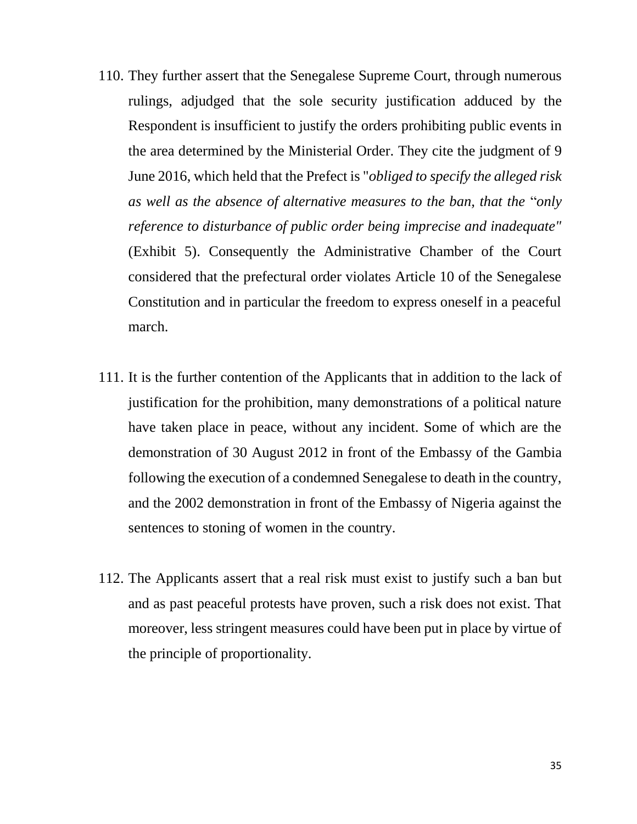- 110. They further assert that the Senegalese Supreme Court, through numerous rulings, adjudged that the sole security justification adduced by the Respondent is insufficient to justify the orders prohibiting public events in the area determined by the Ministerial Order. They cite the judgment of 9 June 2016, which held that the Prefect is "*obliged to specify the alleged risk as well as the absence of alternative measures to the ban, that the* "*only reference to disturbance of public order being imprecise and inadequate"* (Exhibit 5). Consequently the Administrative Chamber of the Court considered that the prefectural order violates Article 10 of the Senegalese Constitution and in particular the freedom to express oneself in a peaceful march.
- 111. It is the further contention of the Applicants that in addition to the lack of justification for the prohibition, many demonstrations of a political nature have taken place in peace, without any incident. Some of which are the demonstration of 30 August 2012 in front of the Embassy of the Gambia following the execution of a condemned Senegalese to death in the country, and the 2002 demonstration in front of the Embassy of Nigeria against the sentences to stoning of women in the country.
- 112. The Applicants assert that a real risk must exist to justify such a ban but and as past peaceful protests have proven, such a risk does not exist. That moreover, less stringent measures could have been put in place by virtue of the principle of proportionality.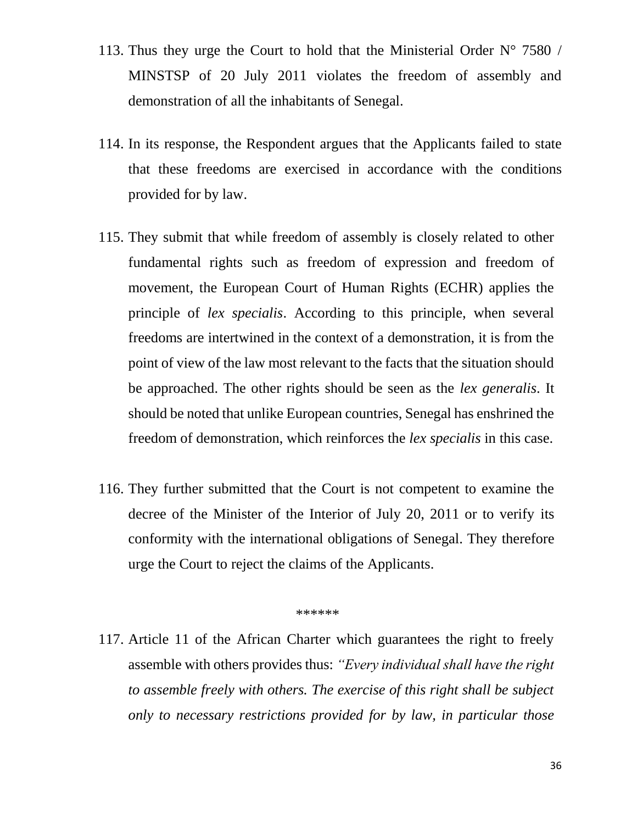- 113. Thus they urge the Court to hold that the Ministerial Order  $N^{\circ}$  7580 / MINSTSP of 20 July 2011 violates the freedom of assembly and demonstration of all the inhabitants of Senegal.
- 114. In its response, the Respondent argues that the Applicants failed to state that these freedoms are exercised in accordance with the conditions provided for by law.
- 115. They submit that while freedom of assembly is closely related to other fundamental rights such as freedom of expression and freedom of movement, the European Court of Human Rights (ECHR) applies the principle of *lex specialis*. According to this principle, when several freedoms are intertwined in the context of a demonstration, it is from the point of view of the law most relevant to the facts that the situation should be approached. The other rights should be seen as the *lex generalis*. It should be noted that unlike European countries, Senegal has enshrined the freedom of demonstration, which reinforces the *lex specialis* in this case.
- 116. They further submitted that the Court is not competent to examine the decree of the Minister of the Interior of July 20, 2011 or to verify its conformity with the international obligations of Senegal. They therefore urge the Court to reject the claims of the Applicants.

*\*\*\*\*\*\**

117. Article 11 of the African Charter which guarantees the right to freely assemble with others provides thus: *"Every individual shall have the right to assemble freely with others. The exercise of this right shall be subject only to necessary restrictions provided for by law, in particular those*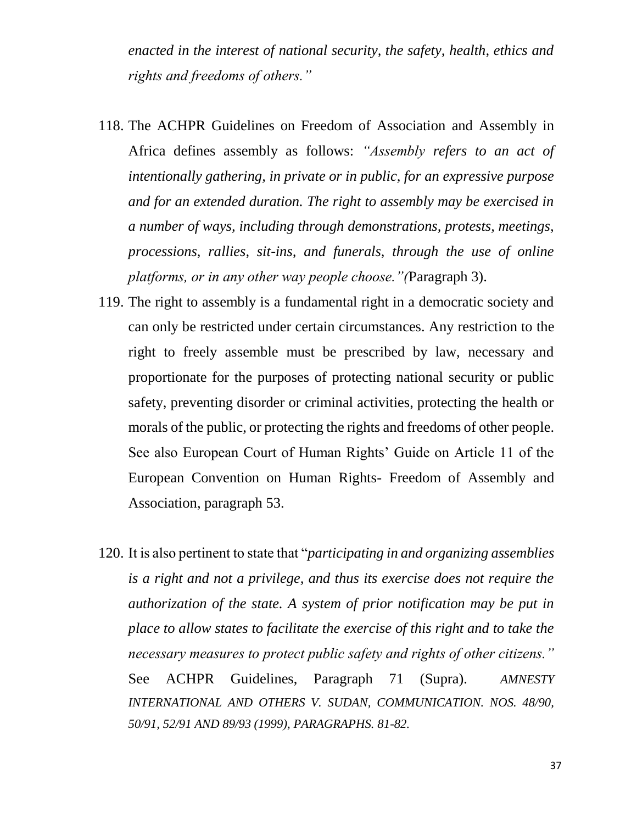*enacted in the interest of national security, the safety, health, ethics and rights and freedoms of others."*

- 118. The ACHPR Guidelines on Freedom of Association and Assembly in Africa defines assembly as follows: *"Assembly refers to an act of intentionally gathering, in private or in public, for an expressive purpose and for an extended duration. The right to assembly may be exercised in a number of ways, including through demonstrations, protests, meetings, processions, rallies, sit-ins, and funerals, through the use of online platforms, or in any other way people choose."(*Paragraph 3).
- 119. The right to assembly is a fundamental right in a democratic society and can only be restricted under certain circumstances. Any restriction to the right to freely assemble must be prescribed by law, necessary and proportionate for the purposes of protecting national security or public safety, preventing disorder or criminal activities, protecting the health or morals of the public, or protecting the rights and freedoms of other people. See also European Court of Human Rights' Guide on Article 11 of the European Convention on Human Rights- Freedom of Assembly and Association, paragraph 53.
- 120. It is also pertinent to state that "*participating in and organizing assemblies is a right and not a privilege, and thus its exercise does not require the authorization of the state. A system of prior notification may be put in place to allow states to facilitate the exercise of this right and to take the necessary measures to protect public safety and rights of other citizens."* See ACHPR Guidelines, Paragraph 71 (Supra). *AMNESTY INTERNATIONAL AND OTHERS V. SUDAN, COMMUNICATION. NOS. 48/90, 50/91, 52/91 AND 89/93 (1999), PARAGRAPHS. 81-82.*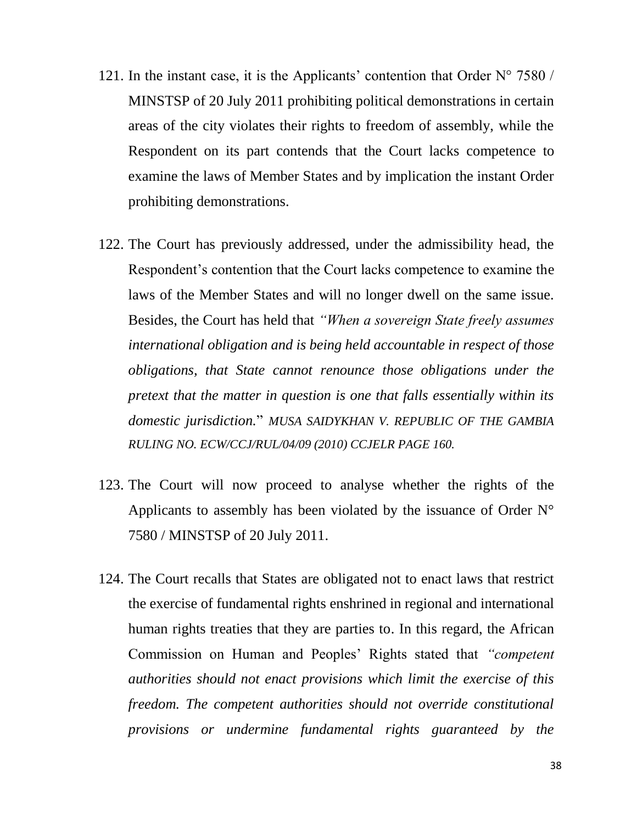- 121. In the instant case, it is the Applicants' contention that Order  $N^{\circ}$  7580 / MINSTSP of 20 July 2011 prohibiting political demonstrations in certain areas of the city violates their rights to freedom of assembly, while the Respondent on its part contends that the Court lacks competence to examine the laws of Member States and by implication the instant Order prohibiting demonstrations.
- 122. The Court has previously addressed, under the admissibility head, the Respondent's contention that the Court lacks competence to examine the laws of the Member States and will no longer dwell on the same issue. Besides, the Court has held that *"When a sovereign State freely assumes international obligation and is being held accountable in respect of those obligations, that State cannot renounce those obligations under the pretext that the matter in question is one that falls essentially within its domestic jurisdiction.*" *MUSA SAIDYKHAN V. REPUBLIC OF THE GAMBIA RULING NO. ECW/CCJ/RUL/04/09 (2010) CCJELR PAGE 160.*
- 123. The Court will now proceed to analyse whether the rights of the Applicants to assembly has been violated by the issuance of Order N° 7580 / MINSTSP of 20 July 2011.
- 124. The Court recalls that States are obligated not to enact laws that restrict the exercise of fundamental rights enshrined in regional and international human rights treaties that they are parties to. In this regard, the African Commission on Human and Peoples' Rights stated that *"competent authorities should not enact provisions which limit the exercise of this freedom. The competent authorities should not override constitutional provisions or undermine fundamental rights guaranteed by the*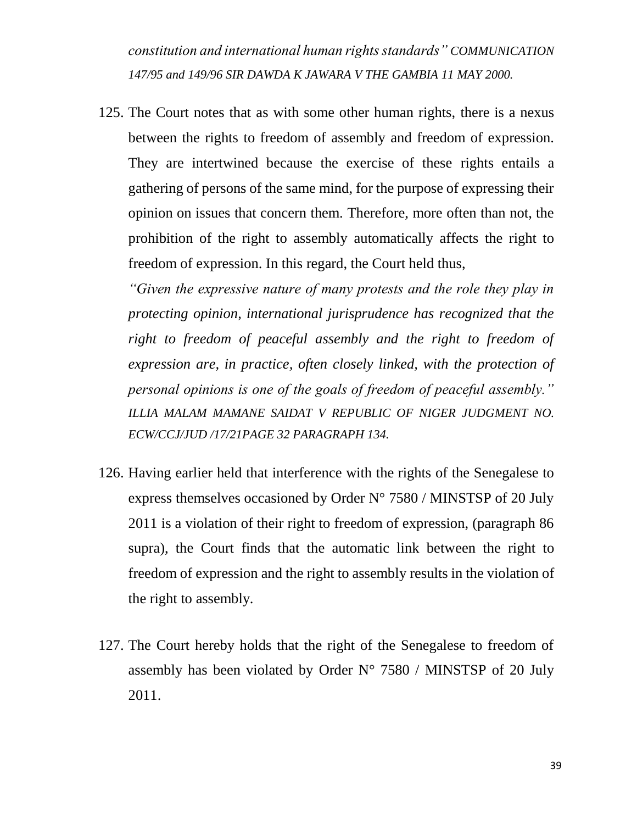*constitution and international human rights standards" COMMUNICATION 147/95 and 149/96 SIR DAWDA K JAWARA V THE GAMBIA 11 MAY 2000.*

125. The Court notes that as with some other human rights, there is a nexus between the rights to freedom of assembly and freedom of expression. They are intertwined because the exercise of these rights entails a gathering of persons of the same mind, for the purpose of expressing their opinion on issues that concern them. Therefore, more often than not, the prohibition of the right to assembly automatically affects the right to freedom of expression. In this regard, the Court held thus,

*"Given the expressive nature of many protests and the role they play in protecting opinion, international jurisprudence has recognized that the*  right to freedom of peaceful assembly and the right to freedom of *expression are, in practice, often closely linked, with the protection of personal opinions is one of the goals of freedom of peaceful assembly." ILLIA MALAM MAMANE SAIDAT V REPUBLIC OF NIGER JUDGMENT NO. ECW/CCJ/JUD /17/21PAGE 32 PARAGRAPH 134.*

- 126. Having earlier held that interference with the rights of the Senegalese to express themselves occasioned by Order N° 7580 / MINSTSP of 20 July 2011 is a violation of their right to freedom of expression, (paragraph 86 supra), the Court finds that the automatic link between the right to freedom of expression and the right to assembly results in the violation of the right to assembly.
- 127. The Court hereby holds that the right of the Senegalese to freedom of assembly has been violated by Order N° 7580 / MINSTSP of 20 July 2011.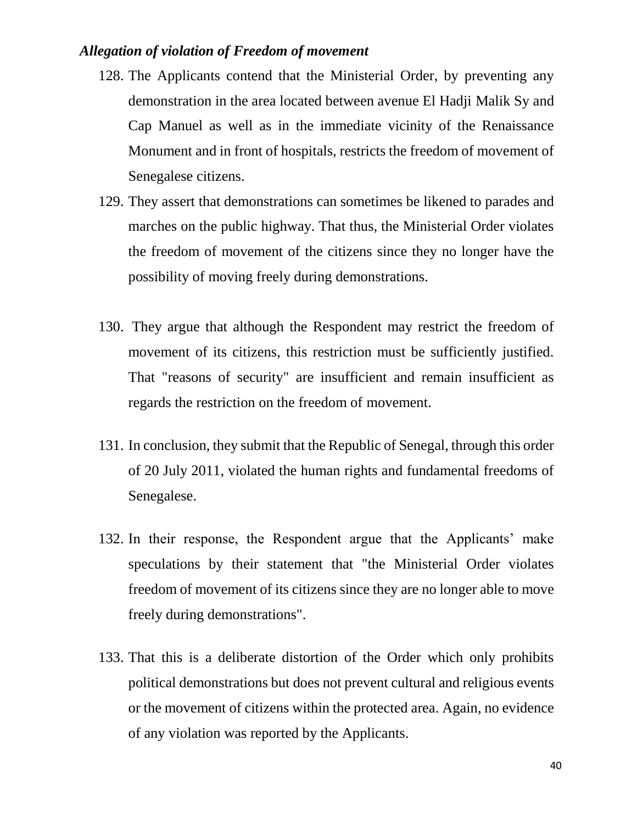#### *Allegation of violation of Freedom of movement*

- 128. The Applicants contend that the Ministerial Order, by preventing any demonstration in the area located between avenue El Hadji Malik Sy and Cap Manuel as well as in the immediate vicinity of the Renaissance Monument and in front of hospitals, restricts the freedom of movement of Senegalese citizens.
- 129. They assert that demonstrations can sometimes be likened to parades and marches on the public highway. That thus, the Ministerial Order violates the freedom of movement of the citizens since they no longer have the possibility of moving freely during demonstrations.
- 130. They argue that although the Respondent may restrict the freedom of movement of its citizens, this restriction must be sufficiently justified. That "reasons of security" are insufficient and remain insufficient as regards the restriction on the freedom of movement.
- 131. In conclusion, they submit that the Republic of Senegal, through this order of 20 July 2011, violated the human rights and fundamental freedoms of Senegalese.
- 132. In their response, the Respondent argue that the Applicants' make speculations by their statement that "the Ministerial Order violates freedom of movement of its citizens since they are no longer able to move freely during demonstrations".
- 133. That this is a deliberate distortion of the Order which only prohibits political demonstrations but does not prevent cultural and religious events or the movement of citizens within the protected area. Again, no evidence of any violation was reported by the Applicants.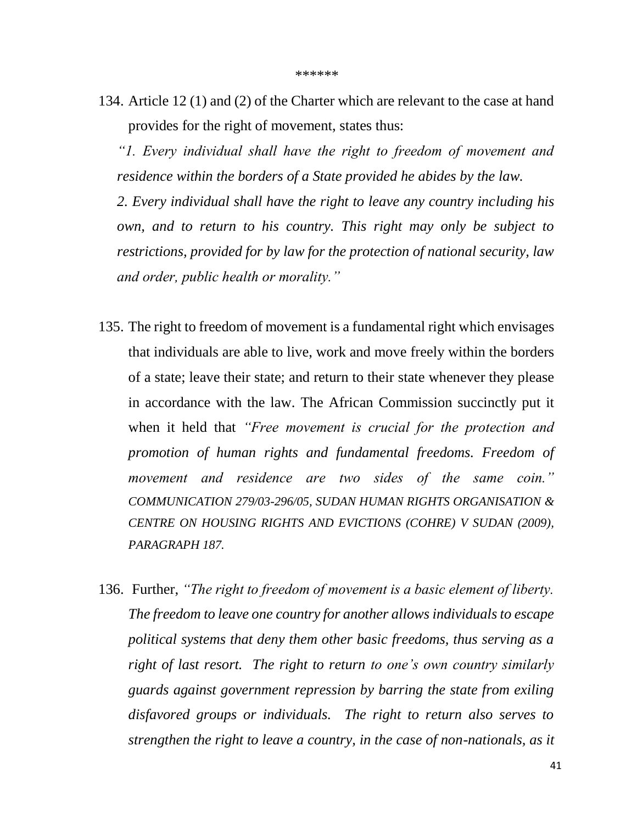134. Article 12 (1) and (2) of the Charter which are relevant to the case at hand provides for the right of movement, states thus:

*"1. Every individual shall have the right to freedom of movement and residence within the borders of a State provided he abides by the law.* 

*2. Every individual shall have the right to leave any country including his own, and to return to his country. This right may only be subject to restrictions, provided for by law for the protection of national security, law and order, public health or morality."*

- 135. The right to freedom of movement is a fundamental right which envisages that individuals are able to live, work and move freely within the borders of a state; leave their state; and return to their state whenever they please in accordance with the law. The African Commission succinctly put it when it held that *"Free movement is crucial for the protection and promotion of human rights and fundamental freedoms. Freedom of movement and residence are two sides of the same coin." COMMUNICATION 279/03-296/05, SUDAN HUMAN RIGHTS ORGANISATION & CENTRE ON HOUSING RIGHTS AND EVICTIONS (COHRE) V SUDAN (2009), PARAGRAPH 187.*
- 136. Further, *"The right to freedom of movement is a basic element of liberty. The freedom to leave one country for another allows individuals to escape political systems that deny them other basic freedoms, thus serving as a right of last resort. The right to return to one's own country similarly guards against government repression by barring the state from exiling disfavored groups or individuals. The right to return also serves to strengthen the right to leave a country, in the case of non-nationals, as it*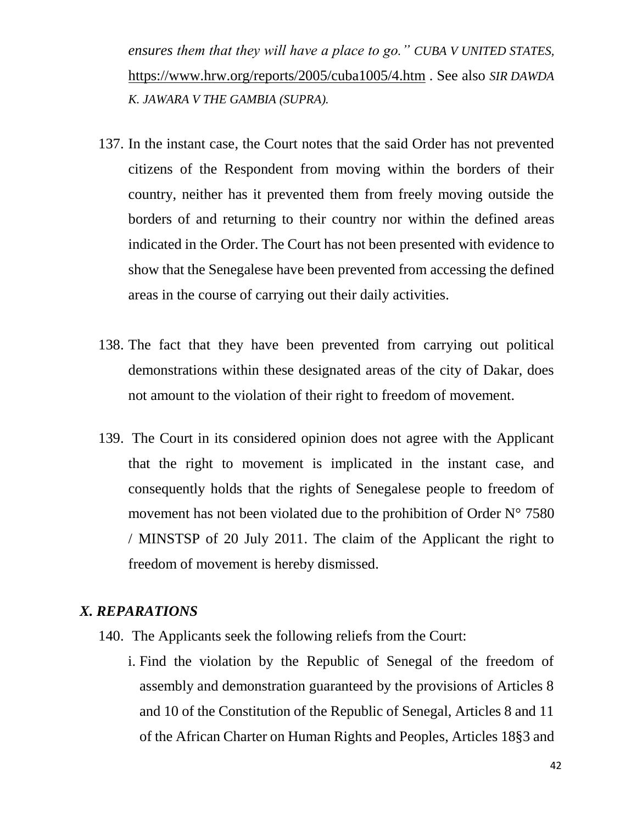*ensures them that they will have a place to go." CUBA V UNITED STATES,* <https://www.hrw.org/reports/2005/cuba1005/4.htm> . See also *SIR DAWDA K. JAWARA V THE GAMBIA (SUPRA).*

- 137. In the instant case, the Court notes that the said Order has not prevented citizens of the Respondent from moving within the borders of their country, neither has it prevented them from freely moving outside the borders of and returning to their country nor within the defined areas indicated in the Order. The Court has not been presented with evidence to show that the Senegalese have been prevented from accessing the defined areas in the course of carrying out their daily activities.
- 138. The fact that they have been prevented from carrying out political demonstrations within these designated areas of the city of Dakar, does not amount to the violation of their right to freedom of movement.
- 139. The Court in its considered opinion does not agree with the Applicant that the right to movement is implicated in the instant case, and consequently holds that the rights of Senegalese people to freedom of movement has not been violated due to the prohibition of Order N° 7580 / MINSTSP of 20 July 2011. The claim of the Applicant the right to freedom of movement is hereby dismissed.

#### *X. REPARATIONS*

- 140. The Applicants seek the following reliefs from the Court:
	- i. Find the violation by the Republic of Senegal of the freedom of assembly and demonstration guaranteed by the provisions of Articles 8 and 10 of the Constitution of the Republic of Senegal, Articles 8 and 11 of the African Charter on Human Rights and Peoples, Articles 18§3 and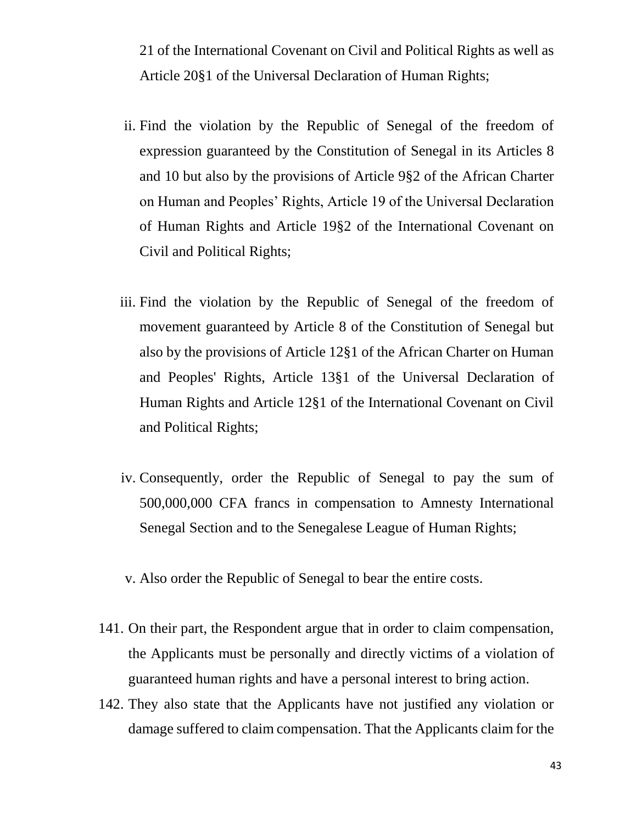21 of the International Covenant on Civil and Political Rights as well as Article 20§1 of the Universal Declaration of Human Rights;

- ii. Find the violation by the Republic of Senegal of the freedom of expression guaranteed by the Constitution of Senegal in its Articles 8 and 10 but also by the provisions of Article 9§2 of the African Charter on Human and Peoples' Rights, Article 19 of the Universal Declaration of Human Rights and Article 19§2 of the International Covenant on Civil and Political Rights;
- iii. Find the violation by the Republic of Senegal of the freedom of movement guaranteed by Article 8 of the Constitution of Senegal but also by the provisions of Article 12§1 of the African Charter on Human and Peoples' Rights, Article 13§1 of the Universal Declaration of Human Rights and Article 12§1 of the International Covenant on Civil and Political Rights;
- iv. Consequently, order the Republic of Senegal to pay the sum of 500,000,000 CFA francs in compensation to Amnesty International Senegal Section and to the Senegalese League of Human Rights;
- v. Also order the Republic of Senegal to bear the entire costs.
- 141. On their part, the Respondent argue that in order to claim compensation, the Applicants must be personally and directly victims of a violation of guaranteed human rights and have a personal interest to bring action.
- 142. They also state that the Applicants have not justified any violation or damage suffered to claim compensation. That the Applicants claim for the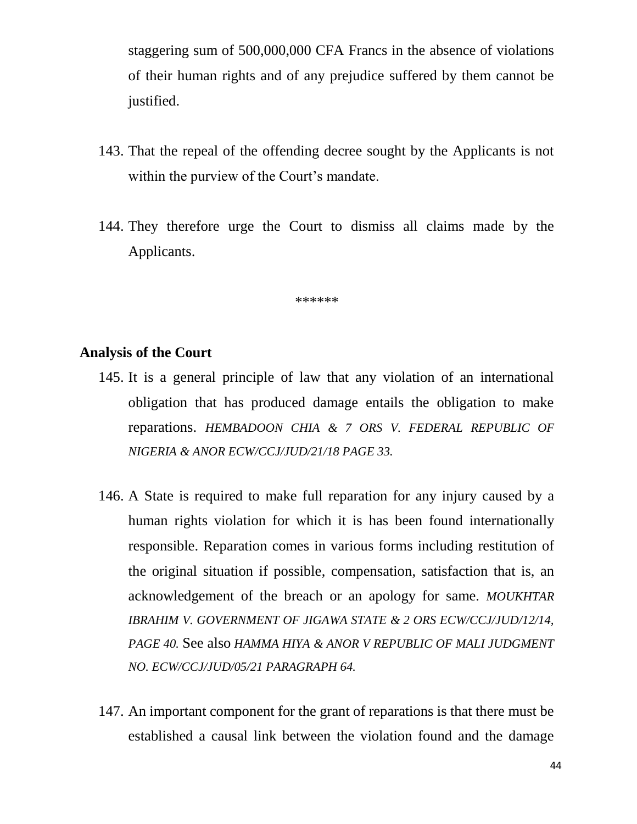staggering sum of 500,000,000 CFA Francs in the absence of violations of their human rights and of any prejudice suffered by them cannot be justified.

- 143. That the repeal of the offending decree sought by the Applicants is not within the purview of the Court's mandate.
- 144. They therefore urge the Court to dismiss all claims made by the Applicants.

\*\*\*\*\*\*

#### **Analysis of the Court**

- 145. It is a general principle of law that any violation of an international obligation that has produced damage entails the obligation to make reparations. *HEMBADOON CHIA & 7 ORS V. FEDERAL REPUBLIC OF NIGERIA & ANOR ECW/CCJ/JUD/21/18 PAGE 33.*
- 146. A State is required to make full reparation for any injury caused by a human rights violation for which it is has been found internationally responsible. Reparation comes in various forms including restitution of the original situation if possible, compensation, satisfaction that is, an acknowledgement of the breach or an apology for same. *MOUKHTAR IBRAHIM V. GOVERNMENT OF JIGAWA STATE & 2 ORS ECW/CCJ/JUD/12/14, PAGE 40.* See also *HAMMA HIYA & ANOR V REPUBLIC OF MALI JUDGMENT NO. ECW/CCJ/JUD/05/21 PARAGRAPH 64.*
- 147. An important component for the grant of reparations is that there must be established a causal link between the violation found and the damage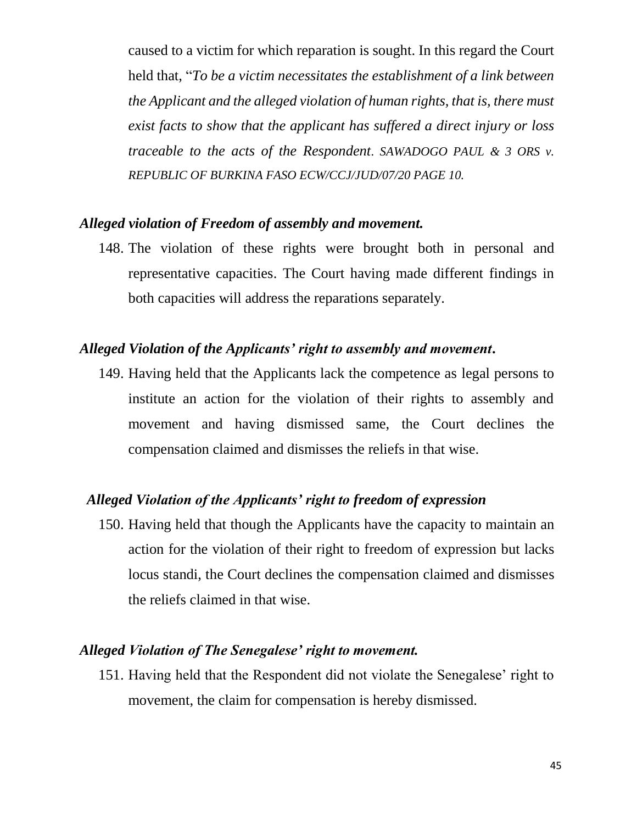caused to a victim for which reparation is sought. In this regard the Court held that, "*To be a victim necessitates the establishment of a link between the Applicant and the alleged violation of human rights, that is, there must exist facts to show that the applicant has suffered a direct injury or loss traceable to the acts of the Respondent. SAWADOGO PAUL & 3 ORS v. REPUBLIC OF BURKINA FASO ECW/CCJ/JUD/07/20 PAGE 10.*

#### *Alleged violation of Freedom of assembly and movement.*

148. The violation of these rights were brought both in personal and representative capacities. The Court having made different findings in both capacities will address the reparations separately.

#### *Alleged Violation of the Applicants' right to assembly and movement***.**

149. Having held that the Applicants lack the competence as legal persons to institute an action for the violation of their rights to assembly and movement and having dismissed same, the Court declines the compensation claimed and dismisses the reliefs in that wise.

# *Alleged Violation of the Applicants' right to freedom of expression*

150. Having held that though the Applicants have the capacity to maintain an action for the violation of their right to freedom of expression but lacks locus standi, the Court declines the compensation claimed and dismisses the reliefs claimed in that wise.

#### *Alleged Violation of The Senegalese' right to movement.*

151. Having held that the Respondent did not violate the Senegalese' right to movement, the claim for compensation is hereby dismissed.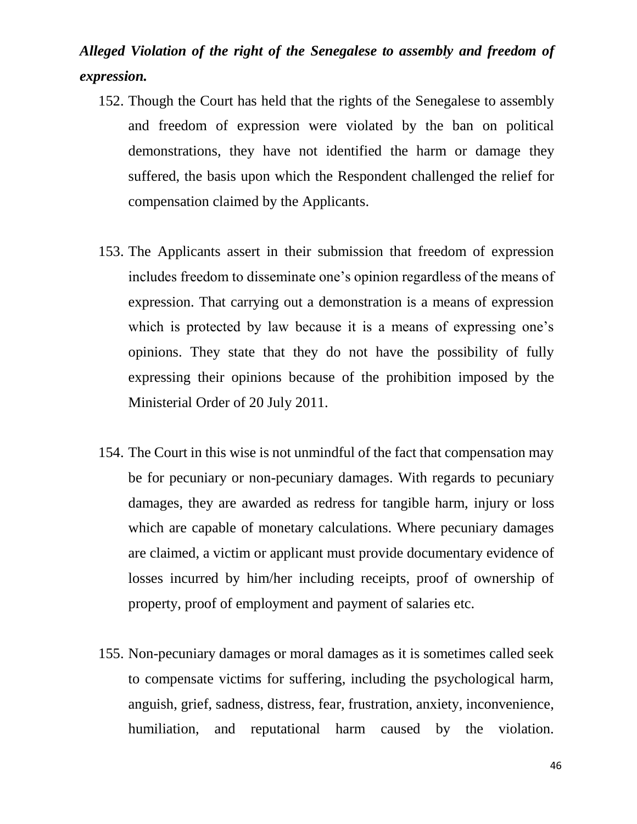# *Alleged Violation of the right of the Senegalese to assembly and freedom of expression.*

- 152. Though the Court has held that the rights of the Senegalese to assembly and freedom of expression were violated by the ban on political demonstrations, they have not identified the harm or damage they suffered, the basis upon which the Respondent challenged the relief for compensation claimed by the Applicants.
- 153. The Applicants assert in their submission that freedom of expression includes freedom to disseminate one's opinion regardless of the means of expression. That carrying out a demonstration is a means of expression which is protected by law because it is a means of expressing one's opinions. They state that they do not have the possibility of fully expressing their opinions because of the prohibition imposed by the Ministerial Order of 20 July 2011.
- 154. The Court in this wise is not unmindful of the fact that compensation may be for pecuniary or non-pecuniary damages. With regards to pecuniary damages, they are awarded as redress for tangible harm, injury or loss which are capable of monetary calculations. Where pecuniary damages are claimed, a victim or applicant must provide documentary evidence of losses incurred by him/her including receipts, proof of ownership of property, proof of employment and payment of salaries etc.
- 155. Non-pecuniary damages or moral damages as it is sometimes called seek to compensate victims for suffering, including the psychological harm, anguish, grief, sadness, distress, fear, frustration, anxiety, inconvenience, humiliation, and reputational harm caused by the violation.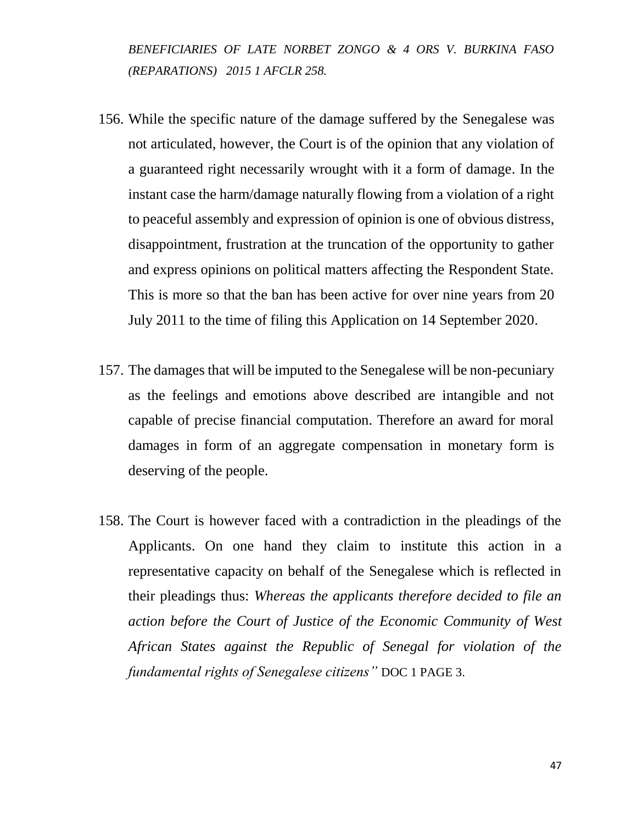*BENEFICIARIES OF LATE NORBET ZONGO & 4 ORS V. BURKINA FASO (REPARATIONS) 2015 1 AFCLR 258.*

- 156. While the specific nature of the damage suffered by the Senegalese was not articulated, however, the Court is of the opinion that any violation of a guaranteed right necessarily wrought with it a form of damage. In the instant case the harm/damage naturally flowing from a violation of a right to peaceful assembly and expression of opinion is one of obvious distress, disappointment, frustration at the truncation of the opportunity to gather and express opinions on political matters affecting the Respondent State. This is more so that the ban has been active for over nine years from 20 July 2011 to the time of filing this Application on 14 September 2020.
- 157. The damages that will be imputed to the Senegalese will be non-pecuniary as the feelings and emotions above described are intangible and not capable of precise financial computation. Therefore an award for moral damages in form of an aggregate compensation in monetary form is deserving of the people.
- 158. The Court is however faced with a contradiction in the pleadings of the Applicants. On one hand they claim to institute this action in a representative capacity on behalf of the Senegalese which is reflected in their pleadings thus: *Whereas the applicants therefore decided to file an action before the Court of Justice of the Economic Community of West African States against the Republic of Senegal for violation of the fundamental rights of Senegalese citizens"* DOC 1 PAGE 3.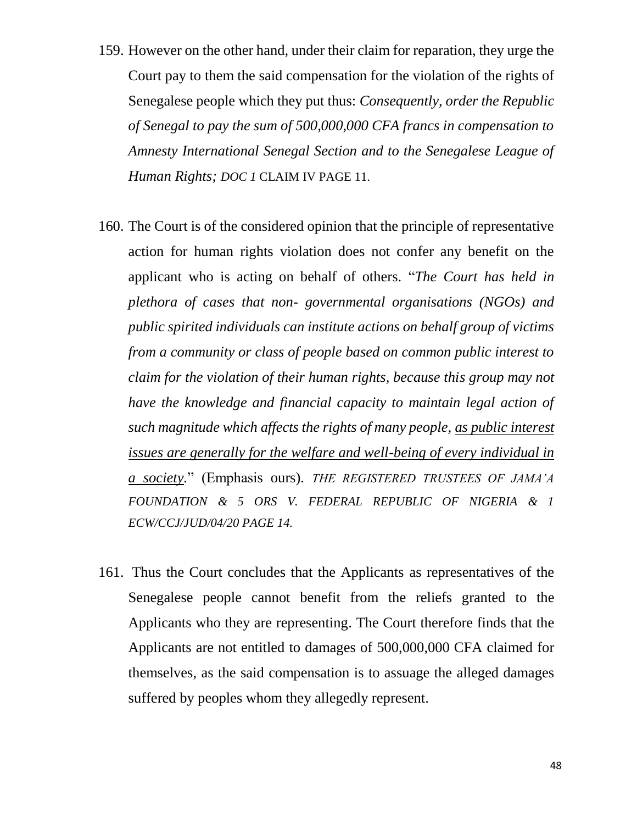- 159. However on the other hand, under their claim for reparation, they urge the Court pay to them the said compensation for the violation of the rights of Senegalese people which they put thus: *Consequently, order the Republic of Senegal to pay the sum of 500,000,000 CFA francs in compensation to Amnesty International Senegal Section and to the Senegalese League of Human Rights; DOC 1* CLAIM IV PAGE 11.
- 160. The Court is of the considered opinion that the principle of representative action for human rights violation does not confer any benefit on the applicant who is acting on behalf of others. "*The Court has held in plethora of cases that non- governmental organisations (NGOs) and public spirited individuals can institute actions on behalf group of victims from a community or class of people based on common public interest to claim for the violation of their human rights, because this group may not have the knowledge and financial capacity to maintain legal action of such magnitude which affects the rights of many people, as public interest issues are generally for the welfare and well-being of every individual in a society.*" (Emphasis ours). *THE REGISTERED TRUSTEES OF JAMA'A FOUNDATION & 5 ORS V. FEDERAL REPUBLIC OF NIGERIA & 1 ECW/CCJ/JUD/04/20 PAGE 14.*
- 161. Thus the Court concludes that the Applicants as representatives of the Senegalese people cannot benefit from the reliefs granted to the Applicants who they are representing. The Court therefore finds that the Applicants are not entitled to damages of 500,000,000 CFA claimed for themselves, as the said compensation is to assuage the alleged damages suffered by peoples whom they allegedly represent.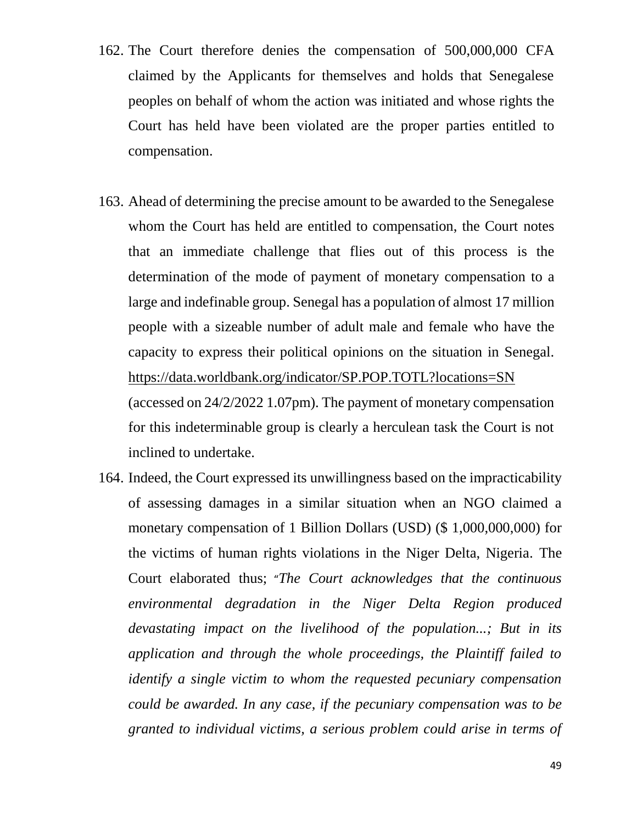- 162. The Court therefore denies the compensation of 500,000,000 CFA claimed by the Applicants for themselves and holds that Senegalese peoples on behalf of whom the action was initiated and whose rights the Court has held have been violated are the proper parties entitled to compensation.
- 163. Ahead of determining the precise amount to be awarded to the Senegalese whom the Court has held are entitled to compensation, the Court notes that an immediate challenge that flies out of this process is the determination of the mode of payment of monetary compensation to a large and indefinable group. Senegal has a population of almost 17 million people with a sizeable number of adult male and female who have the capacity to express their political opinions on the situation in Senegal. <https://data.worldbank.org/indicator/SP.POP.TOTL?locations=SN> (accessed on 24/2/2022 1.07pm). The payment of monetary compensation for this indeterminable group is clearly a herculean task the Court is not inclined to undertake.
- 164. Indeed, the Court expressed its unwillingness based on the impracticability of assessing damages in a similar situation when an NGO claimed a monetary compensation of 1 Billion Dollars (USD) (\$ 1,000,000,000) for the victims of human rights violations in the Niger Delta, Nigeria*.* The Court elaborated thus; "*The Court acknowledges that the continuous environmental degradation in the Niger Delta Region produced devastating impact on the livelihood of the population...; But in its application and through the whole proceedings, the Plaintiff failed to identify a single victim to whom the requested pecuniary compensation could be awarded. In any case, if the pecuniary compensation was to be granted to individual victims, a serious problem could arise in terms of*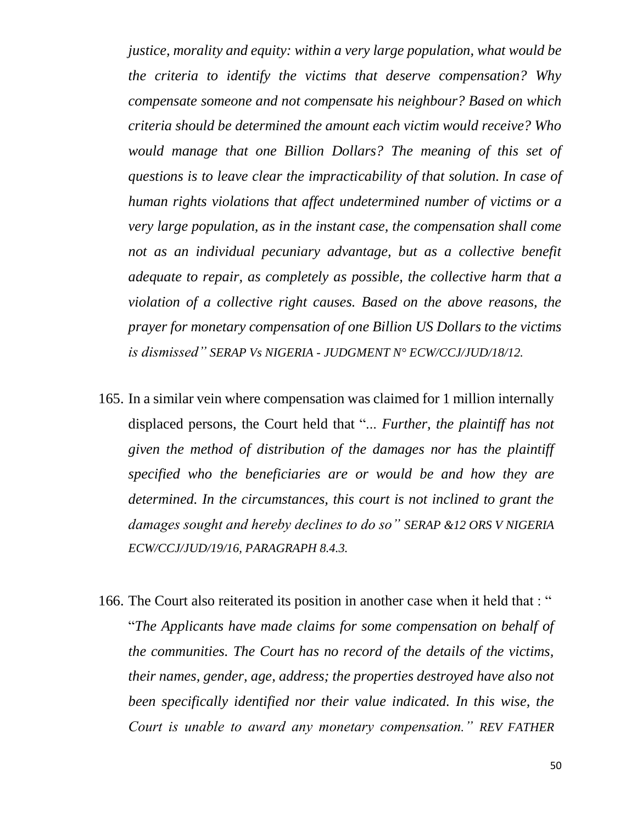*justice, morality and equity: within a very large population, what would be the criteria to identify the victims that deserve compensation? Why compensate someone and not compensate his neighbour? Based on which criteria should be determined the amount each victim would receive? Who would manage that one Billion Dollars? The meaning of this set of questions is to leave clear the impracticability of that solution. In case of human rights violations that affect undetermined number of victims or a very large population, as in the instant case, the compensation shall come not as an individual pecuniary advantage, but as a collective benefit adequate to repair, as completely as possible, the collective harm that a violation of a collective right causes. Based on the above reasons, the prayer for monetary compensation of one Billion US Dollars to the victims is dismissed" SERAP Vs NIGERIA - JUDGMENT N° ECW/CCJ/JUD/18/12.*

- 165. In a similar vein where compensation was claimed for 1 million internally displaced persons, the Court held that "... *Further, the plaintiff has not given the method of distribution of the damages nor has the plaintiff specified who the beneficiaries are or would be and how they are determined. In the circumstances, this court is not inclined to grant the damages sought and hereby declines to do so" SERAP &12 ORS V NIGERIA ECW/CCJ/JUD/19/16, PARAGRAPH 8.4.3.*
- 166. The Court also reiterated its position in another case when it held that : " "*The Applicants have made claims for some compensation on behalf of the communities. The Court has no record of the details of the victims, their names, gender, age, address; the properties destroyed have also not been specifically identified nor their value indicated. In this wise, the Court is unable to award any monetary compensation." REV FATHER*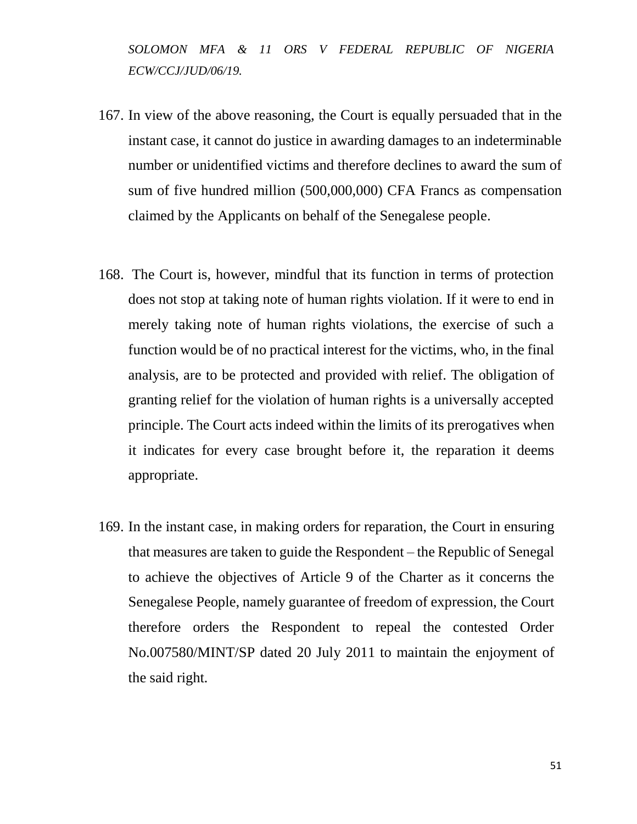*SOLOMON MFA & 11 ORS V FEDERAL REPUBLIC OF NIGERIA ECW/CCJ/JUD/06/19.*

- 167. In view of the above reasoning, the Court is equally persuaded that in the instant case, it cannot do justice in awarding damages to an indeterminable number or unidentified victims and therefore declines to award the sum of sum of five hundred million (500,000,000) CFA Francs as compensation claimed by the Applicants on behalf of the Senegalese people.
- 168. The Court is, however, mindful that its function in terms of protection does not stop at taking note of human rights violation. If it were to end in merely taking note of human rights violations, the exercise of such a function would be of no practical interest for the victims, who, in the final analysis, are to be protected and provided with relief. The obligation of granting relief for the violation of human rights is a universally accepted principle. The Court acts indeed within the limits of its prerogatives when it indicates for every case brought before it, the reparation it deems appropriate.
- 169. In the instant case, in making orders for reparation, the Court in ensuring that measures are taken to guide the Respondent – the Republic of Senegal to achieve the objectives of Article 9 of the Charter as it concerns the Senegalese People, namely guarantee of freedom of expression, the Court therefore orders the Respondent to repeal the contested Order No.007580/MINT/SP dated 20 July 2011 to maintain the enjoyment of the said right*.*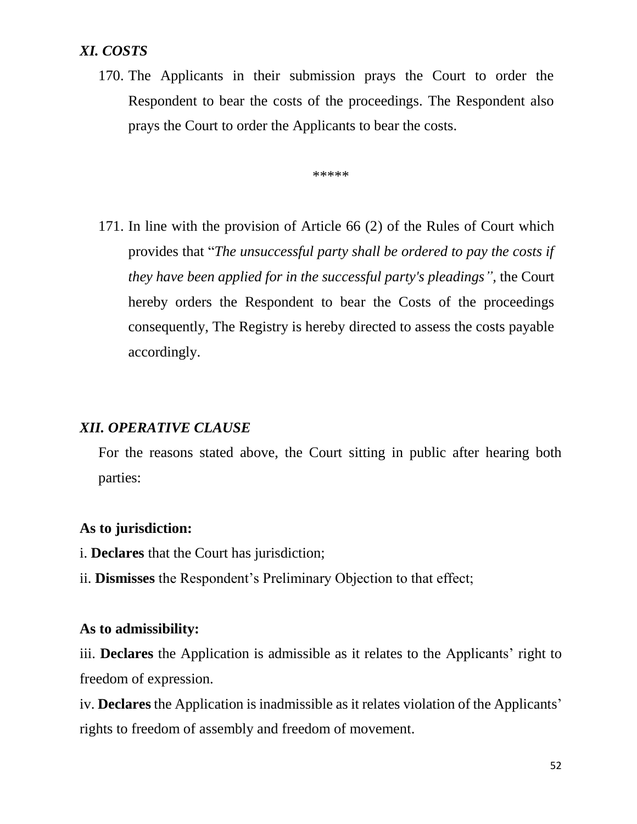# *XI. COSTS*

170. The Applicants in their submission prays the Court to order the Respondent to bear the costs of the proceedings. The Respondent also prays the Court to order the Applicants to bear the costs.

 $******$ 

171. In line with the provision of Article 66 (2) of the Rules of Court which provides that "*The unsuccessful party shall be ordered to pay the costs if they have been applied for in the successful party's pleadings",* the Court hereby orders the Respondent to bear the Costs of the proceedings consequently, The Registry is hereby directed to assess the costs payable accordingly.

# *XII. OPERATIVE CLAUSE*

For the reasons stated above, the Court sitting in public after hearing both parties:

#### **As to jurisdiction:**

- i. **Declares** that the Court has jurisdiction;
- ii. **Dismisses** the Respondent's Preliminary Objection to that effect;

#### **As to admissibility:**

iii. **Declares** the Application is admissible as it relates to the Applicants' right to freedom of expression.

iv. **Declares** the Application is inadmissible as it relates violation of the Applicants' rights to freedom of assembly and freedom of movement.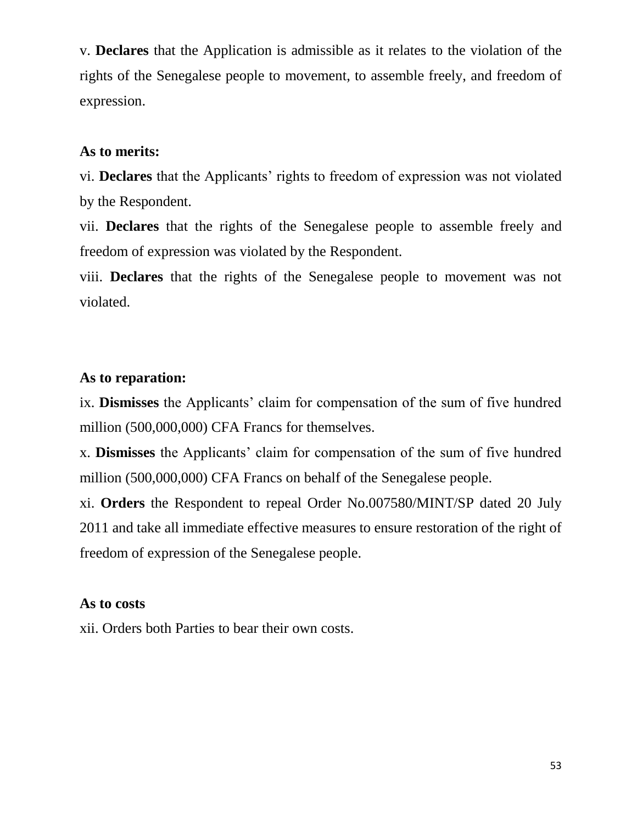v. **Declares** that the Application is admissible as it relates to the violation of the rights of the Senegalese people to movement, to assemble freely, and freedom of expression.

#### **As to merits:**

vi. **Declares** that the Applicants' rights to freedom of expression was not violated by the Respondent.

vii. **Declares** that the rights of the Senegalese people to assemble freely and freedom of expression was violated by the Respondent.

viii. **Declares** that the rights of the Senegalese people to movement was not violated.

# **As to reparation:**

ix. **Dismisses** the Applicants' claim for compensation of the sum of five hundred million (500,000,000) CFA Francs for themselves.

x. **Dismisses** the Applicants' claim for compensation of the sum of five hundred million (500,000,000) CFA Francs on behalf of the Senegalese people.

xi. **Orders** the Respondent to repeal Order No.007580/MINT/SP dated 20 July 2011 and take all immediate effective measures to ensure restoration of the right of freedom of expression of the Senegalese people.

#### **As to costs**

xii. Orders both Parties to bear their own costs.